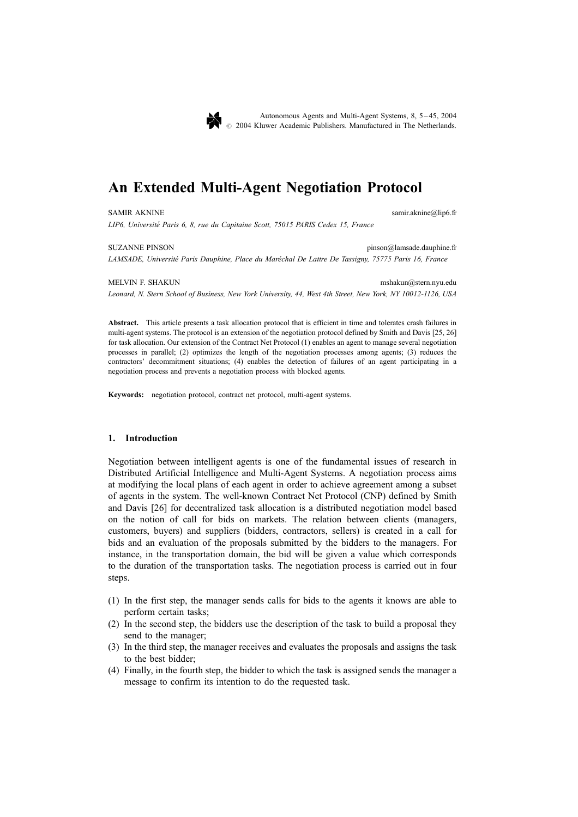# An Extended Multi-Agent Negotiation Protocol

SAMIR AKNINE samir.aknine@lip6.fr LIP6, Université Paris 6, 8, rue du Capitaine Scott, 75015 PARIS Cedex 15, France

SUZANNE PINSON pinson@lamsade.dauphine.fr LAMSADE, Université Paris Dauphine, Place du Maréchal De Lattre De Tassigny, 75775 Paris 16, France

MELVIN F. SHAKUN mshakun@stern.nyu.edu

Leonard, N. Stern School of Business, New York University, 44, West 4th Street, New York, NY 10012-1126, USA

Abstract. This article presents a task allocation protocol that is efficient in time and tolerates crash failures in multi-agent systems. The protocol is an extension of the negotiation protocol defined by Smith and Davis [25, 26] for task allocation. Our extension of the Contract Net Protocol (1) enables an agent to manage several negotiation processes in parallel; (2) optimizes the length of the negotiation processes among agents; (3) reduces the contractors' decommitment situations; (4) enables the detection of failures of an agent participating in a negotiation process and prevents a negotiation process with blocked agents.

Keywords: negotiation protocol, contract net protocol, multi-agent systems.

### 1. Introduction

Negotiation between intelligent agents is one of the fundamental issues of research in Distributed Artificial Intelligence and Multi-Agent Systems. A negotiation process aims at modifying the local plans of each agent in order to achieve agreement among a subset of agents in the system. The well-known Contract Net Protocol (CNP) defined by Smith and Davis [26] for decentralized task allocation is a distributed negotiation model based on the notion of call for bids on markets. The relation between clients (managers, customers, buyers) and suppliers (bidders, contractors, sellers) is created in a call for bids and an evaluation of the proposals submitted by the bidders to the managers. For instance, in the transportation domain, the bid will be given a value which corresponds to the duration of the transportation tasks. The negotiation process is carried out in four steps.

- (1) In the first step, the manager sends calls for bids to the agents it knows are able to perform certain tasks;
- (2) In the second step, the bidders use the description of the task to build a proposal they send to the manager;
- (3) In the third step, the manager receives and evaluates the proposals and assigns the task to the best bidder;
- (4) Finally, in the fourth step, the bidder to which the task is assigned sends the manager a message to confirm its intention to do the requested task.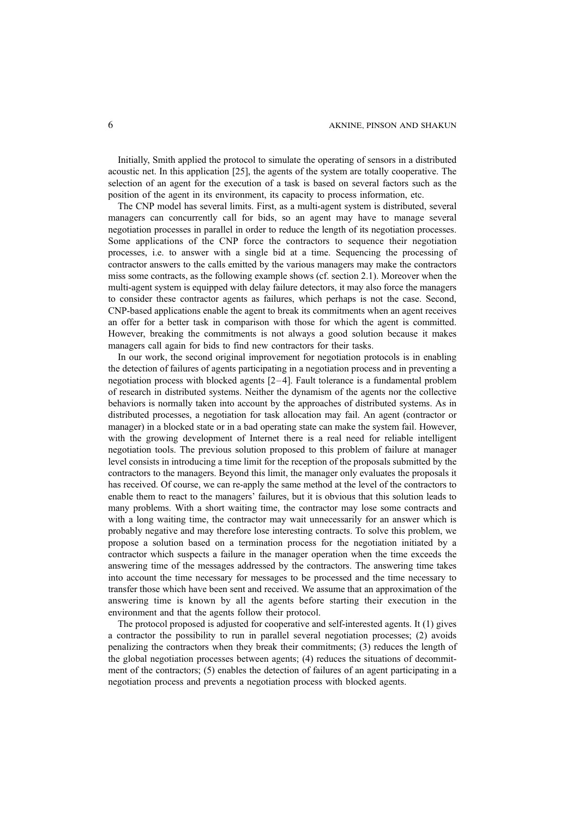Initially, Smith applied the protocol to simulate the operating of sensors in a distributed acoustic net. In this application [25], the agents of the system are totally cooperative. The selection of an agent for the execution of a task is based on several factors such as the position of the agent in its environment, its capacity to process information, etc.

The CNP model has several limits. First, as a multi-agent system is distributed, several managers can concurrently call for bids, so an agent may have to manage several negotiation processes in parallel in order to reduce the length of its negotiation processes. Some applications of the CNP force the contractors to sequence their negotiation processes, i.e. to answer with a single bid at a time. Sequencing the processing of contractor answers to the calls emitted by the various managers may make the contractors miss some contracts, as the following example shows (cf. section 2.1). Moreover when the multi-agent system is equipped with delay failure detectors, it may also force the managers to consider these contractor agents as failures, which perhaps is not the case. Second, CNP-based applications enable the agent to break its commitments when an agent receives an offer for a better task in comparison with those for which the agent is committed. However, breaking the commitments is not always a good solution because it makes managers call again for bids to find new contractors for their tasks.

In our work, the second original improvement for negotiation protocols is in enabling the detection of failures of agents participating in a negotiation process and in preventing a negotiation process with blocked agents  $[2-4]$ . Fault tolerance is a fundamental problem of research in distributed systems. Neither the dynamism of the agents nor the collective behaviors is normally taken into account by the approaches of distributed systems. As in distributed processes, a negotiation for task allocation may fail. An agent (contractor or manager) in a blocked state or in a bad operating state can make the system fail. However, with the growing development of Internet there is a real need for reliable intelligent negotiation tools. The previous solution proposed to this problem of failure at manager level consists in introducing a time limit for the reception of the proposals submitted by the contractors to the managers. Beyond this limit, the manager only evaluates the proposals it has received. Of course, we can re-apply the same method at the level of the contractors to enable them to react to the managers' failures, but it is obvious that this solution leads to many problems. With a short waiting time, the contractor may lose some contracts and with a long waiting time, the contractor may wait unnecessarily for an answer which is probably negative and may therefore lose interesting contracts. To solve this problem, we propose a solution based on a termination process for the negotiation initiated by a contractor which suspects a failure in the manager operation when the time exceeds the answering time of the messages addressed by the contractors. The answering time takes into account the time necessary for messages to be processed and the time necessary to transfer those which have been sent and received. We assume that an approximation of the answering time is known by all the agents before starting their execution in the environment and that the agents follow their protocol.

The protocol proposed is adjusted for cooperative and self-interested agents. It (1) gives a contractor the possibility to run in parallel several negotiation processes; (2) avoids penalizing the contractors when they break their commitments; (3) reduces the length of the global negotiation processes between agents; (4) reduces the situations of decommitment of the contractors; (5) enables the detection of failures of an agent participating in a negotiation process and prevents a negotiation process with blocked agents.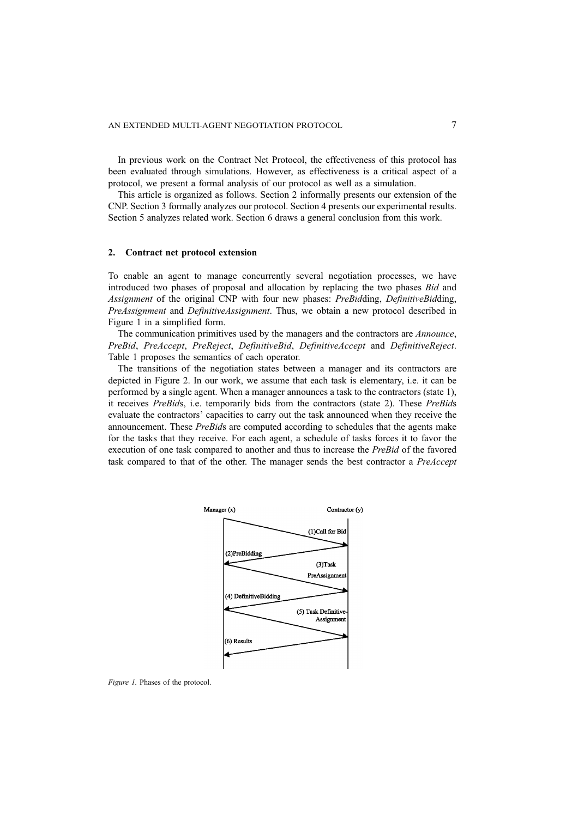In previous work on the Contract Net Protocol, the effectiveness of this protocol has been evaluated through simulations. However, as effectiveness is a critical aspect of a protocol, we present a formal analysis of our protocol as well as a simulation.

This article is organized as follows. Section 2 informally presents our extension of the CNP. Section 3 formally analyzes our protocol. Section 4 presents our experimental results. Section 5 analyzes related work. Section 6 draws a general conclusion from this work.

# 2. Contract net protocol extension

To enable an agent to manage concurrently several negotiation processes, we have introduced two phases of proposal and allocation by replacing the two phases Bid and Assignment of the original CNP with four new phases: PreBidding, DefinitiveBidding, PreAssignment and DefinitiveAssignment. Thus, we obtain a new protocol described in Figure 1 in a simplified form.

The communication primitives used by the managers and the contractors are Announce, PreBid, PreAccept, PreReject, DefinitiveBid, DefinitiveAccept and DefinitiveReject. Table 1 proposes the semantics of each operator.

The transitions of the negotiation states between a manager and its contractors are depicted in Figure 2. In our work, we assume that each task is elementary, i.e. it can be performed by a single agent. When a manager announces a task to the contractors (state 1), it receives PreBids, i.e. temporarily bids from the contractors (state 2). These PreBids evaluate the contractors' capacities to carry out the task announced when they receive the announcement. These PreBids are computed according to schedules that the agents make for the tasks that they receive. For each agent, a schedule of tasks forces it to favor the execution of one task compared to another and thus to increase the PreBid of the favored task compared to that of the other. The manager sends the best contractor a PreAccept



Figure 1. Phases of the protocol.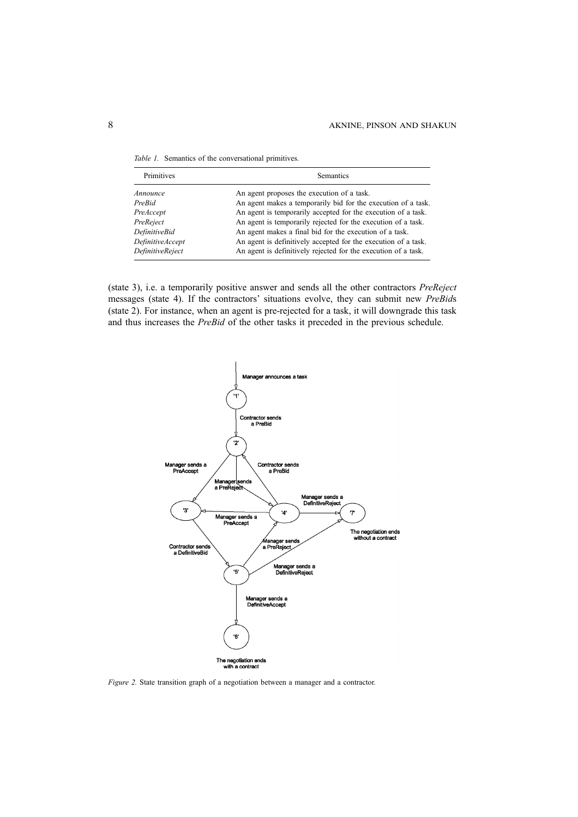Table 1. Semantics of the conversational primitives.

| Primitives              | Semantics                                                      |
|-------------------------|----------------------------------------------------------------|
| Announce                | An agent proposes the execution of a task.                     |
| PreBid                  | An agent makes a temporarily bid for the execution of a task.  |
| PreAccept               | An agent is temporarily accepted for the execution of a task.  |
| PreReject               | An agent is temporarily rejected for the execution of a task.  |
| DefinitiveBid           | An agent makes a final bid for the execution of a task.        |
| DefinitiveAccept        | An agent is definitively accepted for the execution of a task. |
| <b>DefinitiveReject</b> | An agent is definitively rejected for the execution of a task. |

(state 3), i.e. a temporarily positive answer and sends all the other contractors PreReject messages (state 4). If the contractors' situations evolve, they can submit new PreBids (state 2). For instance, when an agent is pre-rejected for a task, it will downgrade this task and thus increases the PreBid of the other tasks it preceded in the previous schedule.



Figure 2. State transition graph of a negotiation between a manager and a contractor.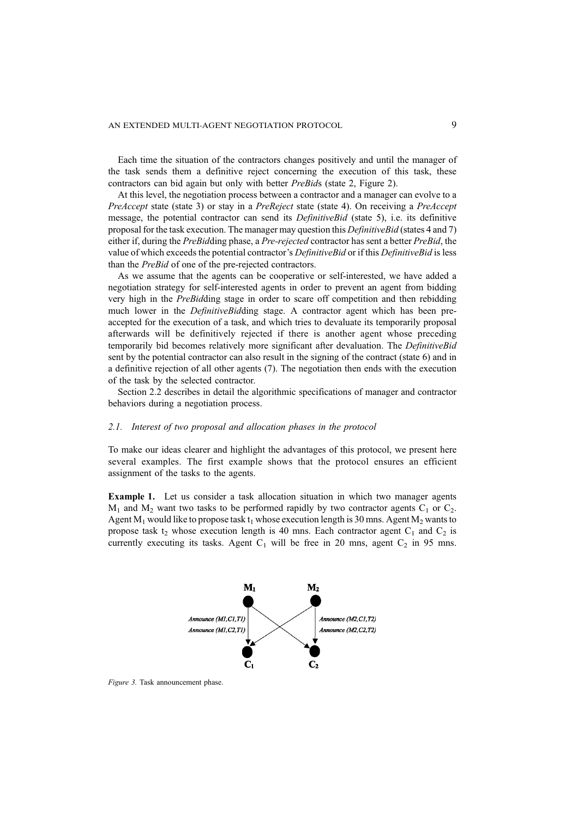Each time the situation of the contractors changes positively and until the manager of the task sends them a definitive reject concerning the execution of this task, these contractors can bid again but only with better PreBids (state 2, Figure 2).

At this level, the negotiation process between a contractor and a manager can evolve to a PreAccept state (state 3) or stay in a PreReject state (state 4). On receiving a PreAccept message, the potential contractor can send its  $DefinitionBid$  (state 5), i.e. its definitive proposal for the task execution. The manager may question this *DefinitiveBid* (states 4 and 7) either if, during the PreBidding phase, a Pre-rejected contractor has sent a better PreBid, the value of which exceeds the potential contractor's DefinitiveBid or if this DefinitiveBid is less than the PreBid of one of the pre-rejected contractors.

As we assume that the agents can be cooperative or self-interested, we have added a negotiation strategy for self-interested agents in order to prevent an agent from bidding very high in the PreBidding stage in order to scare off competition and then rebidding much lower in the *DefinitiveBidding* stage. A contractor agent which has been preaccepted for the execution of a task, and which tries to devaluate its temporarily proposal afterwards will be definitively rejected if there is another agent whose preceding temporarily bid becomes relatively more significant after devaluation. The *DefinitiveBid* sent by the potential contractor can also result in the signing of the contract (state 6) and in a definitive rejection of all other agents (7). The negotiation then ends with the execution of the task by the selected contractor.

Section 2.2 describes in detail the algorithmic specifications of manager and contractor behaviors during a negotiation process.

#### 2.1. Interest of two proposal and allocation phases in the protocol

To make our ideas clearer and highlight the advantages of this protocol, we present here several examples. The first example shows that the protocol ensures an efficient assignment of the tasks to the agents.

Example 1. Let us consider a task allocation situation in which two manager agents  $M_1$  and  $M_2$  want two tasks to be performed rapidly by two contractor agents  $C_1$  or  $C_2$ . Agent  $M_1$  would like to propose task  $t_1$  whose execution length is 30 mns. Agent  $M_2$  wants to propose task  $t_2$  whose execution length is 40 mns. Each contractor agent  $C_1$  and  $C_2$  is currently executing its tasks. Agent  $C_1$  will be free in 20 mns, agent  $C_2$  in 95 mns.



Figure 3. Task announcement phase.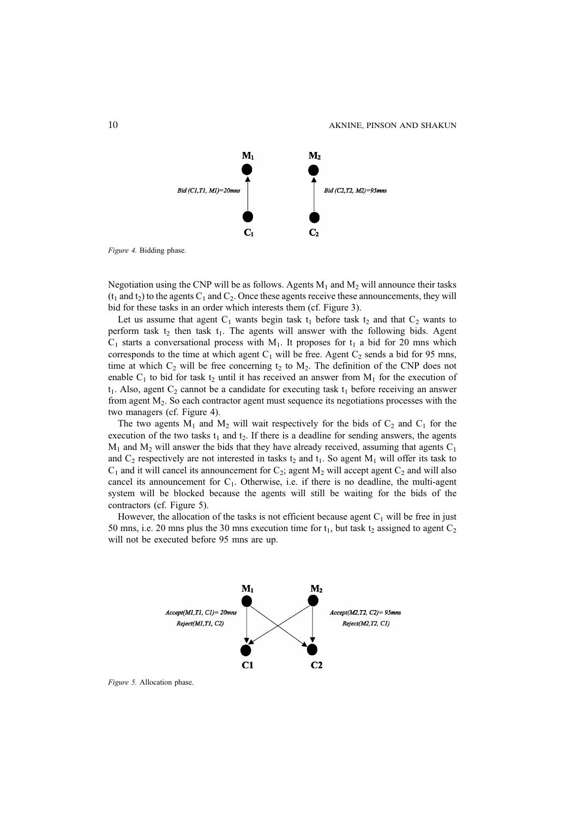

Figure 4. Bidding phase.

Negotiation using the CNP will be as follows. Agents  $M_1$  and  $M_2$  will announce their tasks  $(t_1$  and  $t_2)$  to the agents  $C_1$  and  $C_2$ . Once these agents receive these announcements, they will bid for these tasks in an order which interests them (cf. Figure 3).

Let us assume that agent  $C_1$  wants begin task  $t_1$  before task  $t_2$  and that  $C_2$  wants to perform task  $t_2$  then task  $t_1$ . The agents will answer with the following bids. Agent  $C_1$  starts a conversational process with  $M_1$ . It proposes for  $t_1$  a bid for 20 mns which corresponds to the time at which agent  $C_1$  will be free. Agent  $C_2$  sends a bid for 95 mns, time at which  $C_2$  will be free concerning  $t_2$  to  $M_2$ . The definition of the CNP does not enable  $C_1$  to bid for task t<sub>2</sub> until it has received an answer from  $M_1$  for the execution of  $t_1$ . Also, agent C<sub>2</sub> cannot be a candidate for executing task  $t_1$  before receiving an answer from agent  $M<sub>2</sub>$ . So each contractor agent must sequence its negotiations processes with the two managers (cf. Figure 4).

The two agents  $M_1$  and  $M_2$  will wait respectively for the bids of  $C_2$  and  $C_1$  for the execution of the two tasks  $t_1$  and  $t_2$ . If there is a deadline for sending answers, the agents  $M_1$  and  $M_2$  will answer the bids that they have already received, assuming that agents  $C_1$ and  $C_2$  respectively are not interested in tasks  $t_2$  and  $t_1$ . So agent  $M_1$  will offer its task to  $C_1$  and it will cancel its announcement for  $C_2$ ; agent  $M_2$  will accept agent  $C_2$  and will also cancel its announcement for  $C_1$ . Otherwise, i.e. if there is no deadline, the multi-agent system will be blocked because the agents will still be waiting for the bids of the contractors (cf. Figure 5).

However, the allocation of the tasks is not efficient because agent  $C_1$  will be free in just 50 mns, i.e. 20 mns plus the 30 mns execution time for  $t_1$ , but task  $t_2$  assigned to agent  $C_2$ will not be executed before 95 mns are up.



Figure 5. Allocation phase.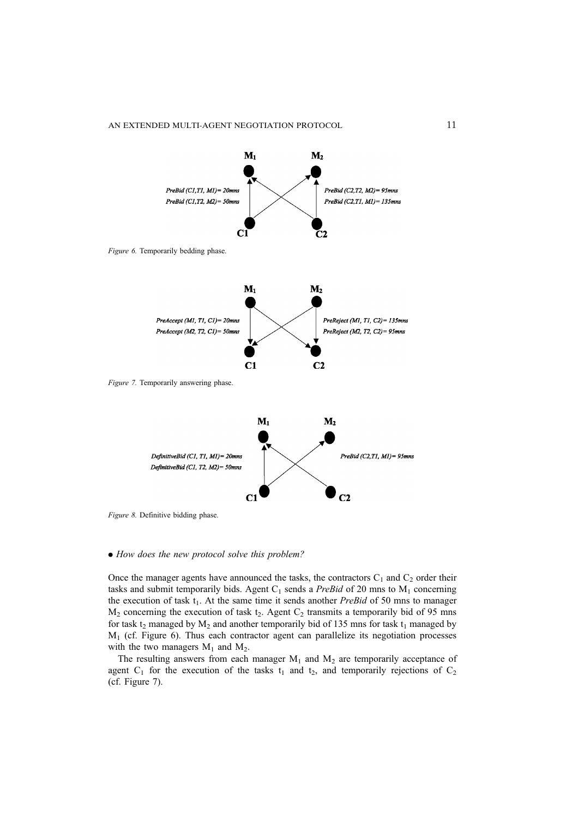

Figure 8. Definitive bidding phase.

# . How does the new protocol solve this problem?

Once the manager agents have announced the tasks, the contractors  $C_1$  and  $C_2$  order their tasks and submit temporarily bids. Agent  $C_1$  sends a PreBid of 20 mns to  $M_1$  concerning the execution of task  $t_1$ . At the same time it sends another *PreBid* of 50 mns to manager  $M<sub>2</sub>$  concerning the execution of task t<sub>2</sub>. Agent C<sub>2</sub> transmits a temporarily bid of 95 mns for task  $t_2$  managed by  $M_2$  and another temporarily bid of 135 mns for task  $t_1$  managed by  $M<sub>1</sub>$  (cf. Figure 6). Thus each contractor agent can parallelize its negotiation processes with the two managers  $M_1$  and  $M_2$ .

The resulting answers from each manager  $M_1$  and  $M_2$  are temporarily acceptance of agent  $C_1$  for the execution of the tasks  $t_1$  and  $t_2$ , and temporarily rejections of  $C_2$ (cf. Figure 7).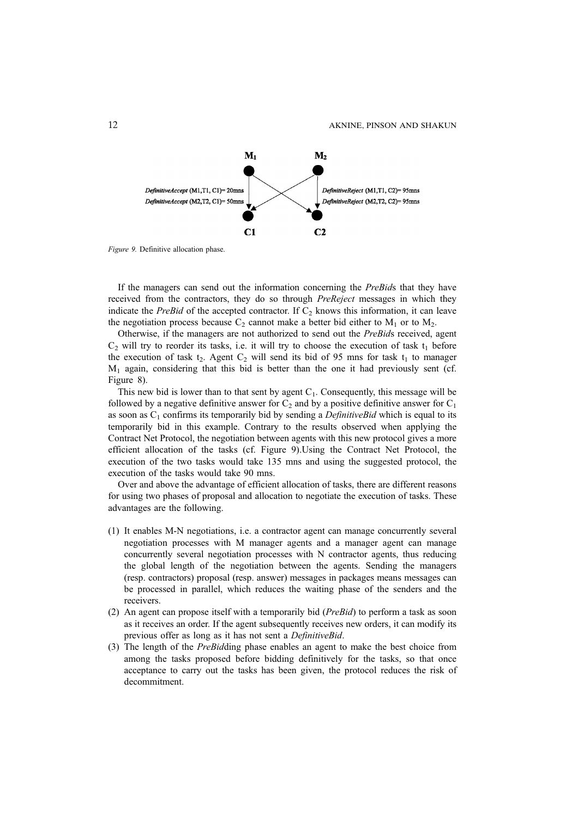

Figure 9. Definitive allocation phase.

If the managers can send out the information concerning the PreBids that they have received from the contractors, they do so through *PreReject* messages in which they indicate the PreBid of the accepted contractor. If  $C_2$  knows this information, it can leave the negotiation process because  $C_2$  cannot make a better bid either to  $M_1$  or to  $M_2$ .

Otherwise, if the managers are not authorized to send out the PreBids received, agent  $C_2$  will try to reorder its tasks, i.e. it will try to choose the execution of task  $t_1$  before the execution of task t<sub>2</sub>. Agent C<sub>2</sub> will send its bid of 95 mns for task t<sub>1</sub> to manager  $M_1$  again, considering that this bid is better than the one it had previously sent (cf. Figure 8).

This new bid is lower than to that sent by agent  $C_1$ . Consequently, this message will be followed by a negative definitive answer for  $C_2$  and by a positive definitive answer for  $C_1$ as soon as  $C_1$  confirms its temporarily bid by sending a *DefinitiveBid* which is equal to its temporarily bid in this example. Contrary to the results observed when applying the Contract Net Protocol, the negotiation between agents with this new protocol gives a more efficient allocation of the tasks (cf. Figure 9).Using the Contract Net Protocol, the execution of the two tasks would take 135 mns and using the suggested protocol, the execution of the tasks would take 90 mns.

Over and above the advantage of efficient allocation of tasks, there are different reasons for using two phases of proposal and allocation to negotiate the execution of tasks. These advantages are the following.

- (1) It enables M-N negotiations, i.e. a contractor agent can manage concurrently several negotiation processes with M manager agents and a manager agent can manage concurrently several negotiation processes with N contractor agents, thus reducing the global length of the negotiation between the agents. Sending the managers (resp. contractors) proposal (resp. answer) messages in packages means messages can be processed in parallel, which reduces the waiting phase of the senders and the receivers.
- (2) An agent can propose itself with a temporarily bid ( $PreBid$ ) to perform a task as soon as it receives an order. If the agent subsequently receives new orders, it can modify its previous offer as long as it has not sent a DefinitiveBid.
- (3) The length of the PreBidding phase enables an agent to make the best choice from among the tasks proposed before bidding definitively for the tasks, so that once acceptance to carry out the tasks has been given, the protocol reduces the risk of decommitment.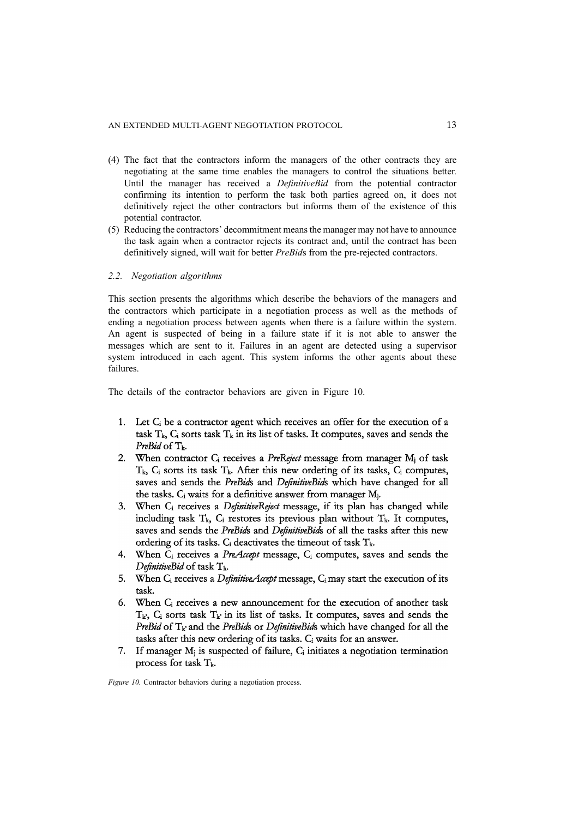- (4) The fact that the contractors inform the managers of the other contracts they are negotiating at the same time enables the managers to control the situations better. Until the manager has received a *DefinitiveBid* from the potential contractor confirming its intention to perform the task both parties agreed on, it does not definitively reject the other contractors but informs them of the existence of this potential contractor.
- (5) Reducing the contractors' decommitment means the manager may not have to announce the task again when a contractor rejects its contract and, until the contract has been definitively signed, will wait for better PreBids from the pre-rejected contractors.
- 2.2. Negotiation algorithms

This section presents the algorithms which describe the behaviors of the managers and the contractors which participate in a negotiation process as well as the methods of ending a negotiation process between agents when there is a failure within the system. An agent is suspected of being in a failure state if it is not able to answer the messages which are sent to it. Failures in an agent are detected using a supervisor system introduced in each agent. This system informs the other agents about these failures.

The details of the contractor behaviors are given in Figure 10.

- 1. Let  $C_i$  be a contractor agent which receives an offer for the execution of a task  $T_k$ ,  $C_i$  sorts task  $T_k$  in its list of tasks. It computes, saves and sends the PreBid of  $T_k$ .
- 2. When contractor C<sub>i</sub> receives a PreReject message from manager M<sub>i</sub> of task  $T_k$ ,  $C_i$  sorts its task  $T_k$ . After this new ordering of its tasks,  $C_i$  computes, saves and sends the PreBids and DefinitiveBids which have changed for all the tasks. C<sub>i</sub> waits for a definitive answer from manager M<sub>i</sub>.
- When C<sub>i</sub> receives a *DefinitiveReject* message, if its plan has changed while  $3<sub>1</sub>$ including task  $T_k$ ,  $C_i$  restores its previous plan without  $T_k$ . It computes, saves and sends the PreBids and DefinitiveBids of all the tasks after this new ordering of its tasks.  $C_i$  deactivates the timeout of task  $T_k$ .
- 4. When C<sub>i</sub> receives a PreAccept message, C<sub>i</sub> computes, saves and sends the DefinitiveBid of task  $T_k$ .
- 5. When C<sub>i</sub> receives a *DefinitiveAccept* message, C<sub>i</sub> may start the execution of its task.
- When C<sub>i</sub> receives a new announcement for the execution of another task 6.  $T_{k}$ ,  $C_i$  sorts task  $T_{k}$  in its list of tasks. It computes, saves and sends the PreBid of  $T_k$  and the PreBids or DefinitiveBids which have changed for all the tasks after this new ordering of its tasks. C<sub>i</sub> waits for an answer.
- 7. If manager  $M_i$  is suspected of failure,  $C_i$  initiates a negotiation termination process for task T<sub>k</sub>.

Figure 10. Contractor behaviors during a negotiation process.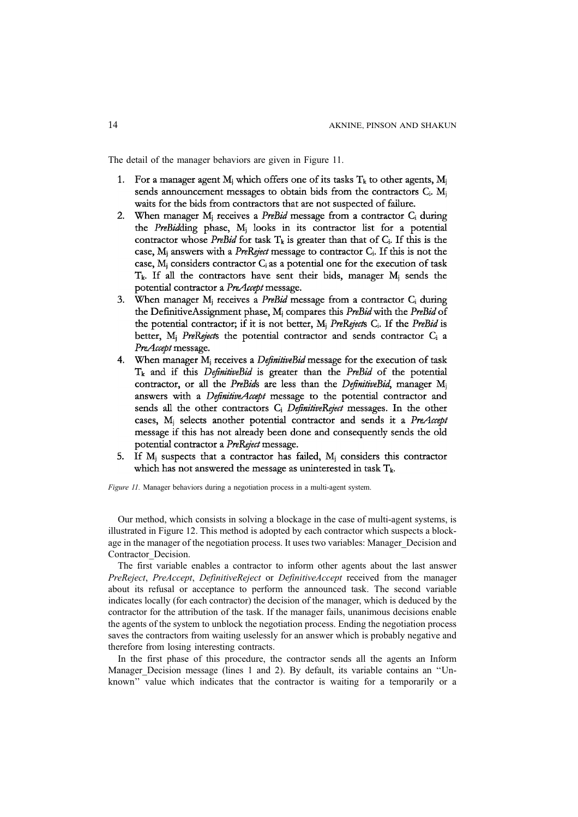The detail of the manager behaviors are given in Figure 11.

- 1. For a manager agent M<sub>i</sub> which offers one of its tasks  $T_k$  to other agents, M<sub>i</sub> sends announcement messages to obtain bids from the contractors C<sub>i</sub>. M<sub>i</sub> waits for the bids from contractors that are not suspected of failure.
- 2. When manager  $M_i$  receives a *PreBid* message from a contractor  $C_i$  during the PreBidding phase, M<sub>i</sub> looks in its contractor list for a potential contractor whose PreBid for task  $T_k$  is greater than that of  $C_i$ . If this is the case,  $M_i$  answers with a *PreReject* message to contractor  $C_i$ . If this is not the case,  $M_i$  considers contractor  $C_i$  as a potential one for the execution of task  $T_k$ . If all the contractors have sent their bids, manager  $M_i$  sends the potential contractor a PreAccept message.
- 3. When manager  $M_i$  receives a *PreBid* message from a contractor  $C_i$  during the DefinitiveAssignment phase, M<sub>i</sub> compares this PreBid with the PreBid of the potential contractor; if it is not better, M<sub>i</sub> PreRejects C<sub>i</sub>. If the PreBid is better, M<sub>i</sub> PreRejects the potential contractor and sends contractor C<sub>i</sub> a PreAccept message.
- 4. When manager M<sub>i</sub> receives a *DefinitiveBid* message for the execution of task T<sub>k</sub> and if this *DefinitiveBid* is greater than the *PreBid* of the potential contractor, or all the PreBids are less than the DefinitiveBid, manager Mi answers with a DefinitiveAccept message to the potential contractor and sends all the other contractors C<sub>i</sub> DefinitiveReject messages. In the other cases, M<sub>i</sub> selects another potential contractor and sends it a PreAccept message if this has not already been done and consequently sends the old potential contractor a PreReject message.
- If  $M_i$  suspects that a contractor has failed,  $M_i$  considers this contractor 5. which has not answered the message as uninterested in task  $T_k$ .

Figure 11. Manager behaviors during a negotiation process in a multi-agent system.

Our method, which consists in solving a blockage in the case of multi-agent systems, is illustrated in Figure 12. This method is adopted by each contractor which suspects a blockage in the manager of the negotiation process. It uses two variables: Manager\_Decision and Contractor\_Decision.

The first variable enables a contractor to inform other agents about the last answer PreReject, PreAccept, DefinitiveReject or DefinitiveAccept received from the manager about its refusal or acceptance to perform the announced task. The second variable indicates locally (for each contractor) the decision of the manager, which is deduced by the contractor for the attribution of the task. If the manager fails, unanimous decisions enable the agents of the system to unblock the negotiation process. Ending the negotiation process saves the contractors from waiting uselessly for an answer which is probably negative and therefore from losing interesting contracts.

In the first phase of this procedure, the contractor sends all the agents an Inform Manager Decision message (lines 1 and 2). By default, its variable contains an "Unknown'' value which indicates that the contractor is waiting for a temporarily or a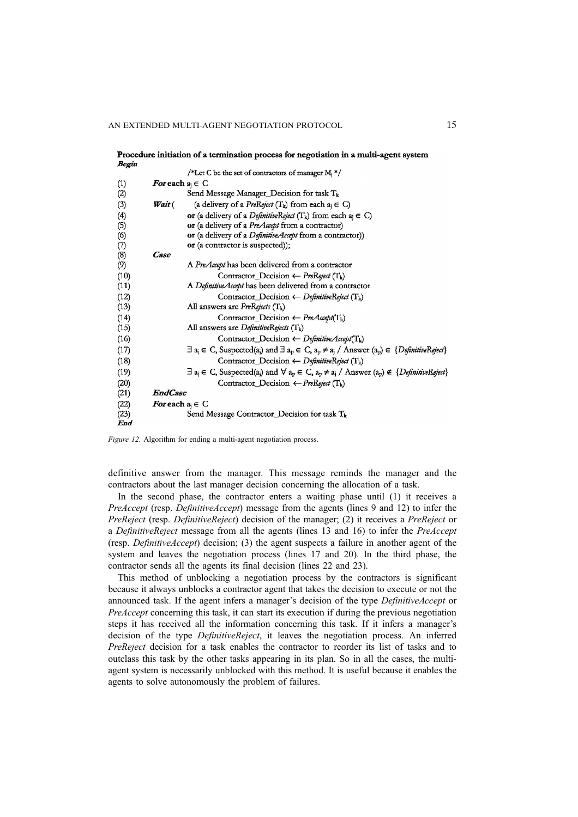|       | Procedure initiation of a termination process for negotiation in a multi-agent system                                                   |
|-------|-----------------------------------------------------------------------------------------------------------------------------------------|
| Begin |                                                                                                                                         |
|       | /*Let C be the set of contractors of manager $Mi*/$                                                                                     |
| (1)   | <i>For</i> each $a_i \in C$                                                                                                             |
| (2)   | Send Message Manager_Decision for task $T_k$                                                                                            |
| (3)   | (a delivery of a <i>PreReject</i> $(T_k)$ from each $a_i \in C$ )<br>Wait (                                                             |
| (4)   | or (a delivery of a <i>DefinitiveReject</i> ( $T_k$ ) from each $a_i \in C$ )                                                           |
| (5)   | or (a delivery of a PreAccept from a contractor)                                                                                        |
| (6)   | or (a delivery of a <i>DefinitiveAccept</i> from a contractor))                                                                         |
| (7)   | or (a contractor is suspected));                                                                                                        |
| (8)   | Case                                                                                                                                    |
| (9)   | A <i>PreAccept</i> has been delivered from a contractor                                                                                 |
| (10)  | Contractor_Decision $\leftarrow$ PreReject (T <sub>k</sub> )                                                                            |
| (11)  | A Definitive Accept has been delivered from a contractor                                                                                |
| (12)  | Contractor_Decision $\leftarrow$ DefinitiveReject (T <sub>k</sub> )                                                                     |
| (13)  | All answers are <i>PreRejects</i> $(T_k)$                                                                                               |
| (14)  | Contractor Decision $\leftarrow$ PreAccept(T <sub>k</sub> )                                                                             |
| (15)  | All answers are <i>DefinitiveRejects</i> $(T_k)$                                                                                        |
| (16)  | Contractor_Decision $\leftarrow$ Definitive Accept(T <sub>k</sub> )                                                                     |
| (17)  | $\exists a_i \in C$ , Suspected(a <sub>i</sub> ) and $\exists a_p \in C$ , $a_p \neq a_i$ / Answer ( $a_p$ ) $\in \{DefinitiveRegect\}$ |
| (18)  | Contractor_Decision $\leftarrow$ DefinitiveReject (T <sub>k</sub> )                                                                     |
| (19)  | $\exists a_i \in C$ , Suspected(a <sub>i</sub> ) and $\forall a_p \in C$ , $a_p \neq a_i /$ Answer $(a_p) \notin \{DefinitiveReject\}$  |
| (20)  | Contractor_Decision $\leftarrow$ PreReject (T <sub>k</sub> )                                                                            |
| (21)  | <b>EndCase</b>                                                                                                                          |
| (22)  | <i>For</i> each $a_i \in C$                                                                                                             |
| (23)  | Send Message Contractor_Decision for task $T_k$                                                                                         |
| End   |                                                                                                                                         |

Figure 12. Algorithm for ending a multi-agent negotiation process.

definitive answer from the manager. This message reminds the manager and the contractors about the last manager decision concerning the allocation of a task.

In the second phase, the contractor enters a waiting phase until (1) it receives a PreAccept (resp. DefinitiveAccept) message from the agents (lines 9 and 12) to infer the PreReject (resp. DefinitiveReject) decision of the manager; (2) it receives a PreReject or a *DefinitiveReject* message from all the agents (lines 13 and 16) to infer the *PreAccept* (resp. *DefinitiveAccept*) decision; (3) the agent suspects a failure in another agent of the system and leaves the negotiation process (lines 17 and 20). In the third phase, the contractor sends all the agents its final decision (lines 22 and 23).

This method of unblocking a negotiation process by the contractors is significant because it always unblocks a contractor agent that takes the decision to execute or not the announced task. If the agent infers a manager's decision of the type DefinitiveAccept or PreAccept concerning this task, it can start its execution if during the previous negotiation steps it has received all the information concerning this task. If it infers a manager's decision of the type DefinitiveReject, it leaves the negotiation process. An inferred PreReject decision for a task enables the contractor to reorder its list of tasks and to outclass this task by the other tasks appearing in its plan. So in all the cases, the multiagent system is necessarily unblocked with this method. It is useful because it enables the agents to solve autonomously the problem of failures.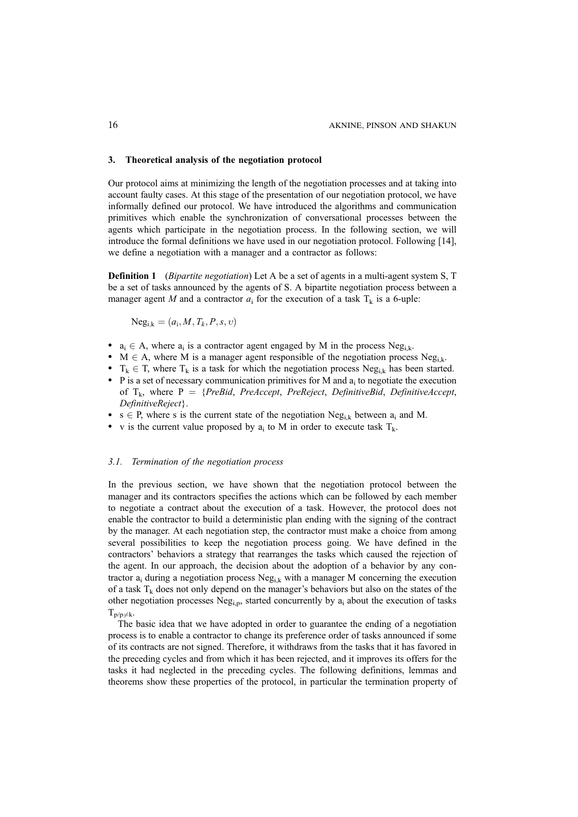### 3. Theoretical analysis of the negotiation protocol

Our protocol aims at minimizing the length of the negotiation processes and at taking into account faulty cases. At this stage of the presentation of our negotiation protocol, we have informally defined our protocol. We have introduced the algorithms and communication primitives which enable the synchronization of conversational processes between the agents which participate in the negotiation process. In the following section, we will introduce the formal definitions we have used in our negotiation protocol. Following [14], we define a negotiation with a manager and a contractor as follows:

**Definition 1** (Bipartite negotiation) Let A be a set of agents in a multi-agent system S, T be a set of tasks announced by the agents of S. A bipartite negotiation process between a manager agent M and a contractor  $a_i$  for the execution of a task  $T_k$  is a 6-uple:

 $Neg_{i,k} = (a_i, M, T_k, P, s, v)$ 

- $a_i \in A$ , where  $a_i$  is a contractor agent engaged by M in the process Neg<sub>ik</sub>.
- $M \in A$ , where M is a manager agent responsible of the negotiation process Neg<sub>ik</sub>.
- $T_k \in T$ , where  $T_k$  is a task for which the negotiation process Neg<sub>i,k</sub> has been started.
- $\bullet$  P is a set of necessary communication primitives for M and  $a_i$  to negotiate the execution of  $T_k$ , where  $P = {PreBid, PreAccept, PreReject, DefinitiveBid, DefinitiveAccept, }$ DefinitiveReject}.
- $s \in P$ , where s is the current state of the negotiation Neg<sub>i,k</sub> between  $a_i$  and M.
- v is the current value proposed by  $a_i$  to M in order to execute task  $T_k$ .

# 3.1. Termination of the negotiation process

In the previous section, we have shown that the negotiation protocol between the manager and its contractors specifies the actions which can be followed by each member to negotiate a contract about the execution of a task. However, the protocol does not enable the contractor to build a deterministic plan ending with the signing of the contract by the manager. At each negotiation step, the contractor must make a choice from among several possibilities to keep the negotiation process going. We have defined in the contractors' behaviors a strategy that rearranges the tasks which caused the rejection of the agent. In our approach, the decision about the adoption of a behavior by any contractor  $a_i$  during a negotiation process  $Neg_{i,k}$  with a manager M concerning the execution of a task  $T_k$  does not only depend on the manager's behaviors but also on the states of the other negotiation processes Neg<sub>i,p</sub>, started concurrently by  $a_i$  about the execution of tasks  $T_{p/p \neq k}$ .

The basic idea that we have adopted in order to guarantee the ending of a negotiation process is to enable a contractor to change its preference order of tasks announced if some of its contracts are not signed. Therefore, it withdraws from the tasks that it has favored in the preceding cycles and from which it has been rejected, and it improves its offers for the tasks it had neglected in the preceding cycles. The following definitions, lemmas and theorems show these properties of the protocol, in particular the termination property of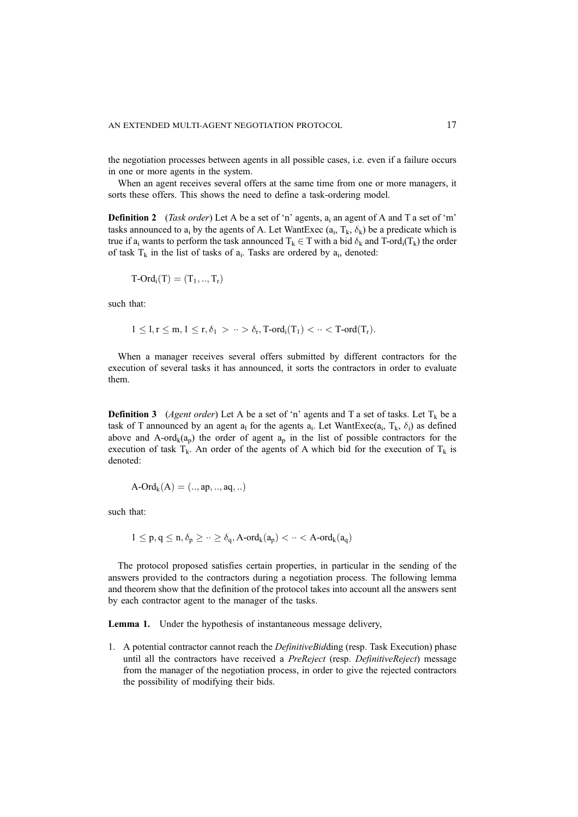the negotiation processes between agents in all possible cases, i.e. even if a failure occurs in one or more agents in the system.

When an agent receives several offers at the same time from one or more managers, it sorts these offers. This shows the need to define a task-ordering model.

**Definition 2** (Task order) Let A be a set of 'n' agents,  $a_i$  an agent of A and T a set of 'm' tasks announced to  $a_i$  by the agents of A. Let WantExec  $(a_i, T_k, \delta_k)$  be a predicate which is true if a<sub>i</sub> wants to perform the task announced  $T_k \in T$  with a bid  $\delta_k$  and T-ord<sub>i</sub>(T<sub>k</sub>) the order of task  $T_k$  in the list of tasks of  $a_i$ . Tasks are ordered by  $a_i$ , denoted:

$$
T\text{-}\mathrm{Ord}_i(T)=(T_1,..,T_r)
$$

such that:

$$
1 \leq l, r \leq m, 1 \leq r, \delta_1 > \cdots > \delta_r, T\text{-ord}_i(T_1) < \cdots < T\text{-ord}(T_r).
$$

When a manager receives several offers submitted by different contractors for the execution of several tasks it has announced, it sorts the contractors in order to evaluate them.

**Definition 3** (*Agent order*) Let A be a set of 'n' agents and T a set of tasks. Let  $T_k$  be a task of T announced by an agent  $a_i$  for the agents  $a_i$ . Let WantExec( $a_i$ ,  $T_k$ ,  $\delta_i$ ) as defined above and A-ord<sub>k</sub> $(a_p)$  the order of agent  $a_p$  in the list of possible contractors for the execution of task  $T_k$ . An order of the agents of A which bid for the execution of  $T_k$  is denoted:

$$
A\text{-}\mathrm{Ord}_k(A)=(.,ap,..,aq,..)
$$

such that:

$$
1 \le p, q \le n, \delta_p \ge \dots \ge \delta_q, A\text{-ord}_k(a_p) < \dots < A\text{-ord}_k(a_q)
$$

The protocol proposed satisfies certain properties, in particular in the sending of the answers provided to the contractors during a negotiation process. The following lemma and theorem show that the definition of the protocol takes into account all the answers sent by each contractor agent to the manager of the tasks.

Lemma 1. Under the hypothesis of instantaneous message delivery,

1. A potential contractor cannot reach the *DefinitiveBidding* (resp. Task Execution) phase until all the contractors have received a PreReject (resp. DefinitiveReject) message from the manager of the negotiation process, in order to give the rejected contractors the possibility of modifying their bids.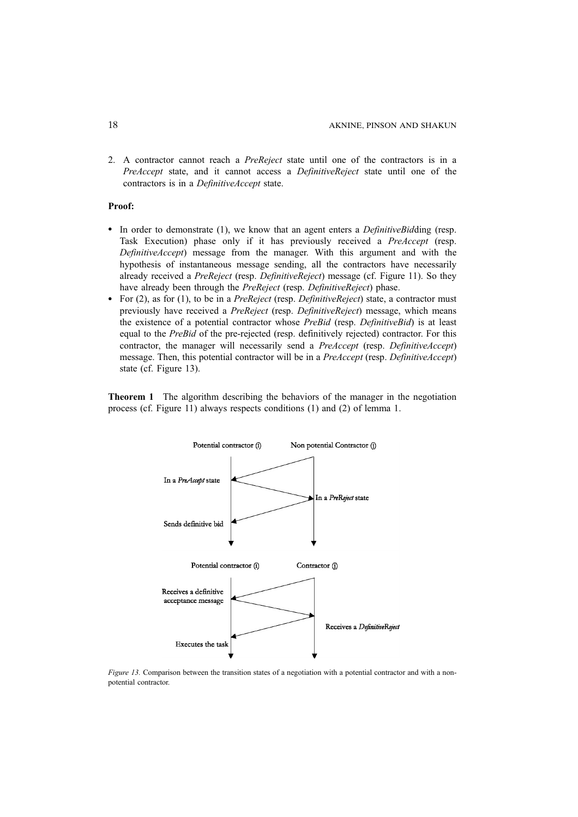2. A contractor cannot reach a PreReject state until one of the contractors is in a PreAccept state, and it cannot access a DefinitiveReject state until one of the contractors is in a DefinitiveAccept state.

# Proof:

- In order to demonstrate  $(1)$ , we know that an agent enters a *DefinitiveBidding* (resp. Task Execution) phase only if it has previously received a PreAccept (resp. DefinitiveAccept) message from the manager. With this argument and with the hypothesis of instantaneous message sending, all the contractors have necessarily already received a PreReject (resp. DefinitiveReject) message (cf. Figure 11). So they have already been through the PreReject (resp. DefinitiveReject) phase.
- For  $(2)$ , as for  $(1)$ , to be in a *PreReject* (resp. *DefinitiveReject*) state, a contractor must previously have received a PreReject (resp. DefinitiveReject) message, which means the existence of a potential contractor whose PreBid (resp. DefinitiveBid) is at least equal to the PreBid of the pre-rejected (resp. definitively rejected) contractor. For this contractor, the manager will necessarily send a PreAccept (resp. DefinitiveAccept) message. Then, this potential contractor will be in a *PreAccept* (resp. *DefinitiveAccept*) state (cf. Figure 13).

Theorem 1 The algorithm describing the behaviors of the manager in the negotiation process (cf. Figure 11) always respects conditions (1) and (2) of lemma 1.



Figure 13. Comparison between the transition states of a negotiation with a potential contractor and with a nonpotential contractor.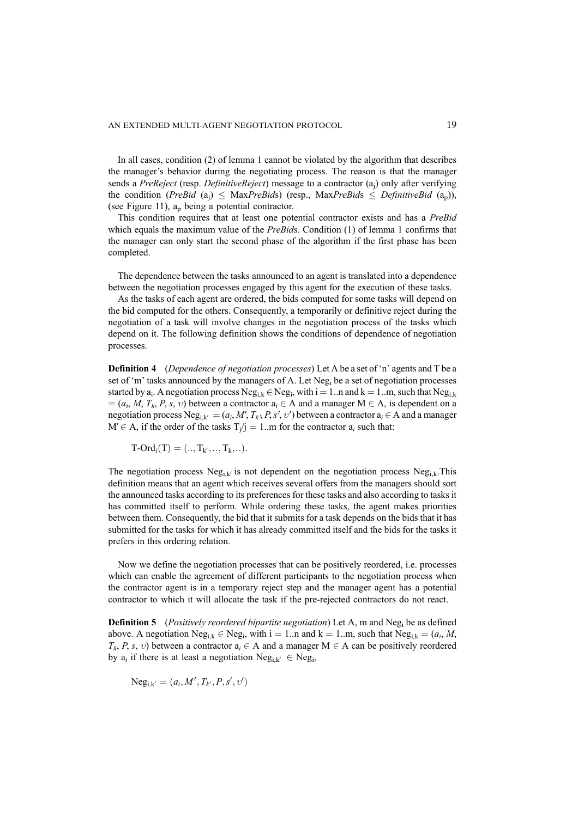In all cases, condition (2) of lemma 1 cannot be violated by the algorithm that describes the manager's behavior during the negotiating process. The reason is that the manager sends a PreReject (resp. DefinitiveReject) message to a contractor  $(a_i)$  only after verifying the condition (PreBid (a<sub>i</sub>)  $\leq$  MaxPreBids) (resp., MaxPreBids  $\leq$  DefinitiveBid (a<sub>p</sub>)), (see Figure 11), ap being a potential contractor.

This condition requires that at least one potential contractor exists and has a PreBid which equals the maximum value of the *PreBids*. Condition (1) of lemma 1 confirms that the manager can only start the second phase of the algorithm if the first phase has been completed.

The dependence between the tasks announced to an agent is translated into a dependence between the negotiation processes engaged by this agent for the execution of these tasks.

As the tasks of each agent are ordered, the bids computed for some tasks will depend on the bid computed for the others. Consequently, a temporarily or definitive reject during the negotiation of a task will involve changes in the negotiation process of the tasks which depend on it. The following definition shows the conditions of dependence of negotiation processes.

Definition 4 (Dependence of negotiation processes) Let A be a set of 'n' agents and T be a set of 'm' tasks announced by the managers of A. Let Negi be a set of negotiation processes started by  $a_i$ . A negotiation process Neg<sub>i,k</sub>  $\in$  Neg<sub>i</sub>, with  $i = 1..n$  and  $k = 1..m$ , such that Neg<sub>i,k</sub>  $=(a_i, M, T_k, P, s, v)$  between a contractor  $a_i \in A$  and a manager  $M \in A$ , is dependent on a negotiation process  $N_{\text{B}}(a_1, a_2, \ldots, a_n, M', T_i, P, s', v')$  between a contractor  $a_i \in A$  and a manager negotiation process  $Neg_{i,k'} = (a_i, M', T_{k'}, P, s', v')$  between a contractor  $a_i \in A$  and a manager  $M' \subset A$  if the order of the tasks  $T \cdot i = 1$  m for the contractor a, such that:  $M' \in A$ , if the order of the tasks  $T_i/j = 1 \dots m$  for the contractor  $a_i$  such that:

$$
T\text{-}\mathrm{Ord}_i(T)=(.,T_{k'},..,T_k,..).
$$

The negotiation process  $Neg_{i,k'}$  is not dependent on the negotiation process  $Neg_{i,k}$ .This definition means that an agent which receives several offers from the managers should sort the announced tasks according to its preferences for these tasks and also according to tasks it has committed itself to perform. While ordering these tasks, the agent makes priorities between them. Consequently, the bid that it submits for a task depends on the bids that it has submitted for the tasks for which it has already committed itself and the bids for the tasks it prefers in this ordering relation.

Now we define the negotiation processes that can be positively reordered, i.e. processes which can enable the agreement of different participants to the negotiation process when the contractor agent is in a temporary reject step and the manager agent has a potential contractor to which it will allocate the task if the pre-rejected contractors do not react.

**Definition 5** (*Positively reordered bipartite negotiation*) Let A, m and Neg<sub>i</sub> be as defined above. A negotiation  $Neg_{i,k} \in Neg_i$ , with  $i = 1..n$  and  $k = 1..m$ , such that  $Neg_{i,k} = (a_i, M, \ldots, a_n)$  $T_k$ , P, s, v) between a contractor  $a_i \in A$  and a manager  $M \in A$  can be positively reordered<br>by a, if there is at least a negotiation Neg.  $L \in N$ eg. by  $a_i$  if there is at least a negotiation Neg<sub>ik'</sub>  $\in$  Neg<sub>i</sub>,

$$
Neg_{i,k'}=(a_i,M',T_{k'},P,s',v')
$$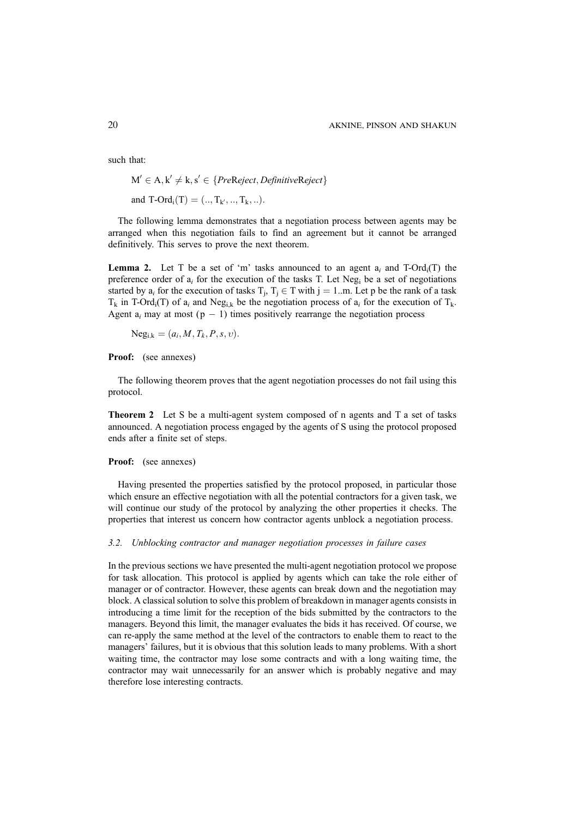such that:

 $M' \in A, k' \neq k, s' \in \{PreReject, DefinitiveReject\}$ and  $T\text{-}Ord_i(T) = (..., T_{k'}, ..., T_k, ...)$ .

The following lemma demonstrates that a negotiation process between agents may be arranged when this negotiation fails to find an agreement but it cannot be arranged definitively. This serves to prove the next theorem.

**Lemma 2.** Let T be a set of 'm' tasks announced to an agent  $a_i$  and T-Ord<sub>i</sub>(T) the preference order of  $a_i$  for the execution of the tasks T. Let Neg<sub>i</sub> be a set of negotiations started by  $a_i$  for the execution of tasks  $T_i$ ,  $T_i \in T$  with  $j = 1..m$ . Let p be the rank of a task  $T_k$  in T-Ord<sub>i</sub>(T) of  $a_i$  and Neg<sub>i,k</sub> be the negotiation process of  $a_i$  for the execution of  $T_k$ . Agent  $a_i$  may at most  $(p - 1)$  times positively rearrange the negotiation process

Neg<sub>i,k</sub> =  $(a_i, M, T_k, P, s, v)$ .

Proof: (see annexes)

The following theorem proves that the agent negotiation processes do not fail using this protocol.

**Theorem 2** Let S be a multi-agent system composed of n agents and T a set of tasks announced. A negotiation process engaged by the agents of S using the protocol proposed ends after a finite set of steps.

### Proof: (see annexes)

Having presented the properties satisfied by the protocol proposed, in particular those which ensure an effective negotiation with all the potential contractors for a given task, we will continue our study of the protocol by analyzing the other properties it checks. The properties that interest us concern how contractor agents unblock a negotiation process.

#### 3.2. Unblocking contractor and manager negotiation processes in failure cases

In the previous sections we have presented the multi-agent negotiation protocol we propose for task allocation. This protocol is applied by agents which can take the role either of manager or of contractor. However, these agents can break down and the negotiation may block. A classical solution to solve this problem of breakdown in manager agents consists in introducing a time limit for the reception of the bids submitted by the contractors to the managers. Beyond this limit, the manager evaluates the bids it has received. Of course, we can re-apply the same method at the level of the contractors to enable them to react to the managers' failures, but it is obvious that this solution leads to many problems. With a short waiting time, the contractor may lose some contracts and with a long waiting time, the contractor may wait unnecessarily for an answer which is probably negative and may therefore lose interesting contracts.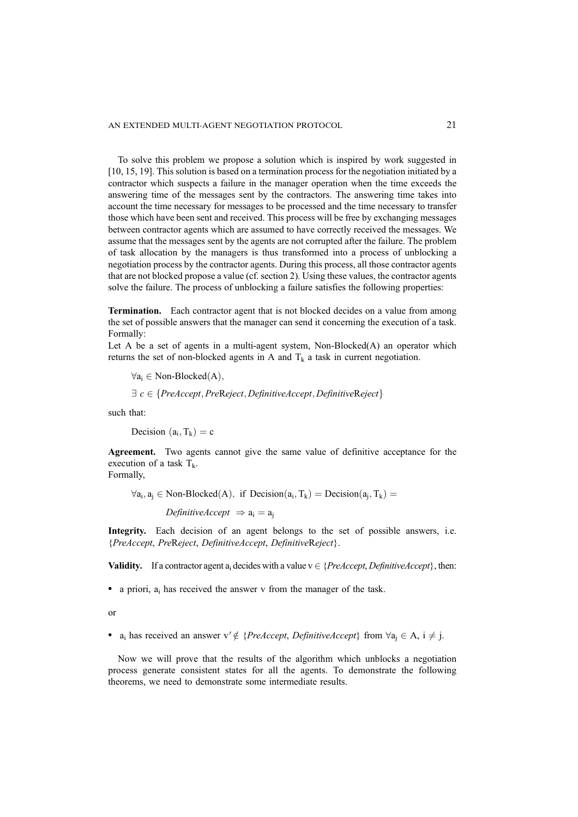To solve this problem we propose a solution which is inspired by work suggested in [10, 15, 19]. This solution is based on a termination process for the negotiation initiated by a contractor which suspects a failure in the manager operation when the time exceeds the answering time of the messages sent by the contractors. The answering time takes into account the time necessary for messages to be processed and the time necessary to transfer those which have been sent and received. This process will be free by exchanging messages between contractor agents which are assumed to have correctly received the messages. We assume that the messages sent by the agents are not corrupted after the failure. The problem of task allocation by the managers is thus transformed into a process of unblocking a negotiation process by the contractor agents. During this process, all those contractor agents that are not blocked propose a value (cf. section 2). Using these values, the contractor agents solve the failure. The process of unblocking a failure satisfies the following properties:

Termination. Each contractor agent that is not blocked decides on a value from among the set of possible answers that the manager can send it concerning the execution of a task. Formally:

Let A be a set of agents in a multi-agent system, Non-Blocked(A) an operator which returns the set of non-blocked agents in A and  $T_k$  a task in current negotiation.

 $\forall a_i \in \text{Non-Blocked}(A),$ 

 $\exists c \in \{PreAccept, PreReject, DefinitiveAccept, DefinitiveReject\}$ 

such that:

Decision  $(a_i, T_k) = c$ 

Agreement. Two agents cannot give the same value of definitive acceptance for the execution of a task  $T_k$ .

Formally,

 $\forall a_i, a_j \in \text{Non-Blocked}(A)$ , if Decision $(a_i, T_k) = \text{Decision}(a_i, T_k)$ 

DefinitiveAccept  $\Rightarrow$  a<sub>i</sub> = a<sub>i</sub>

Integrity. Each decision of an agent belongs to the set of possible answers, i.e. {PreAccept, PreReject, DefinitiveAccept, DefinitiveReject}.

**Validity.** If a contractor agent a<sub>i</sub> decides with a value  $v \in \{PreAccept, DefinitiveAccept\}$ , then:

• a priori,  $a_i$  has received the answer v from the manager of the task.

or

• a<sub>i</sub> has received an answer v'  $\notin \{PreAccept, DefinitiveAccept\}$  from  $\forall a_i \in A$ ,  $i \neq j$ .

Now we will prove that the results of the algorithm which unblocks a negotiation process generate consistent states for all the agents. To demonstrate the following theorems, we need to demonstrate some intermediate results.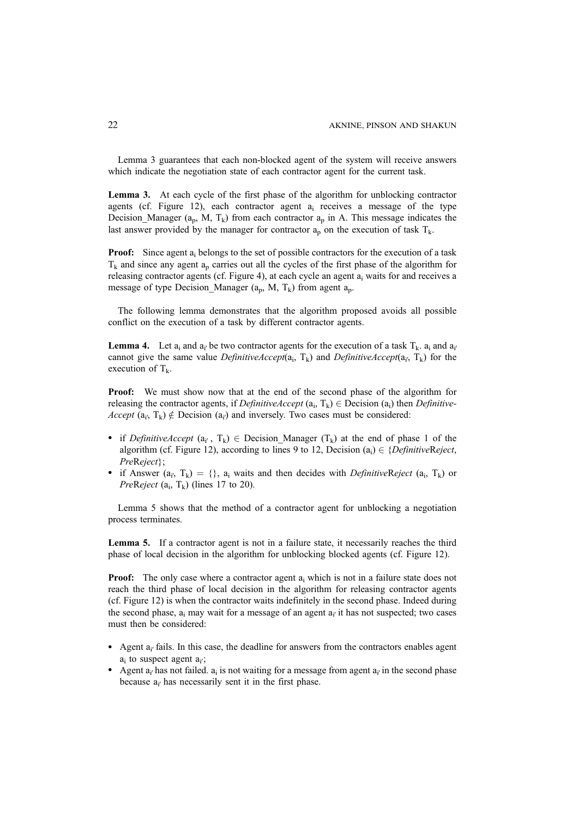Lemma 3 guarantees that each non-blocked agent of the system will receive answers which indicate the negotiation state of each contractor agent for the current task.

Lemma 3. At each cycle of the first phase of the algorithm for unblocking contractor agents (cf. Figure 12), each contractor agent  $a_i$  receives a message of the type Decision\_Manager ( $a_p$ , M,  $T_k$ ) from each contractor  $a_p$  in A. This message indicates the last answer provided by the manager for contractor  $a_n$  on the execution of task  $T_k$ .

**Proof:** Since agent a<sub>i</sub> belongs to the set of possible contractors for the execution of a task  $T_k$  and since any agent  $a_p$  carries out all the cycles of the first phase of the algorithm for releasing contractor agents (cf. Figure 4), at each cycle an agent  $a_i$  waits for and receives a message of type Decision\_Manager  $(a_p, M, T_k)$  from agent  $a_p$ .

The following lemma demonstrates that the algorithm proposed avoids all possible conflict on the execution of a task by different contractor agents.

**Lemma 4.** Let  $a_i$  and  $a_{i'}$  be two contractor agents for the execution of a task  $T_k$ .  $a_i$  and  $a_{i'}$ cannot give the same value *DefinitiveAccept*( $a_i$ ,  $T_k$ ) and *DefinitiveAccept*( $a_i$ ,  $T_k$ ) for the execution of  $T_k$ .

**Proof:** We must show now that at the end of the second phase of the algorithm for releasing the contractor agents, if DefinitiveAccept ( $a_i$ ,  $T_k$ )  $\in$  Decision ( $a_i$ ) then Definitive-*Accept* ( $a_i$ ,  $T_k$ )  $\notin$  Decision ( $a_i$ ) and inversely. Two cases must be considered:

- if DefinitiveAccept  $(a_i, T_k) \in$  Decision Manager  $(T_k)$  at the end of phase 1 of the algorithm (cf. Figure 12), according to lines 9 to 12, Decision (a<sub>i</sub>)  $\in \{DefinitiveReject,$ PreReject};
- if Answer  $(a_i, T_k) = \{\}$ ,  $a_i$  waits and then decides with *DefinitiveReject*  $(a_i, T_k)$  or *PreReject*  $(a_i, T_k)$  (lines 17 to 20) PreReject  $(a_i, T_k)$  (lines 17 to 20).

Lemma 5 shows that the method of a contractor agent for unblocking a negotiation process terminates.

Lemma 5. If a contractor agent is not in a failure state, it necessarily reaches the third phase of local decision in the algorithm for unblocking blocked agents (cf. Figure 12).

**Proof:** The only case where a contractor agent  $a_i$  which is not in a failure state does not reach the third phase of local decision in the algorithm for releasing contractor agents (cf. Figure 12) is when the contractor waits indefinitely in the second phase. Indeed during the second phase,  $a_i$  may wait for a message of an agent  $a_{i'}$  it has not suspected; two cases must then be considered:

- Agent  $a_i$  fails. In this case, the deadline for answers from the contractors enables agent  $a_i$  to suspect agent  $a_{i'}$ ;
- Agent  $a_i$  has not failed.  $a_i$  is not waiting for a message from agent  $a_i$  in the second phase because  $a_i$  has necessarily sent it in the first phase.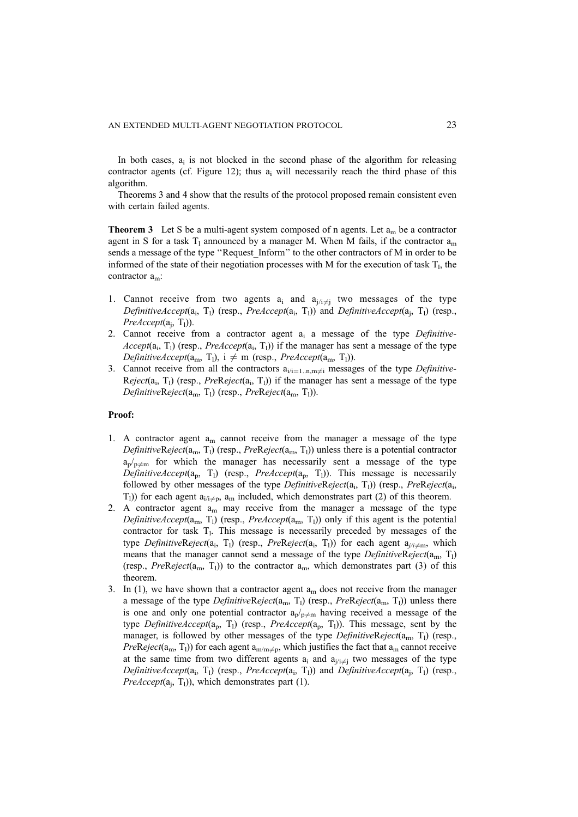In both cases,  $a_i$  is not blocked in the second phase of the algorithm for releasing contractor agents (cf. Figure 12); thus  $a_i$  will necessarily reach the third phase of this algorithm.

Theorems 3 and 4 show that the results of the protocol proposed remain consistent even with certain failed agents.

**Theorem 3** Let S be a multi-agent system composed of n agents. Let  $a_m$  be a contractor agent in S for a task  $T_1$  announced by a manager M. When M fails, if the contractor  $a_m$ sends a message of the type "Request Inform" to the other contractors of M in order to be informed of the state of their negotiation processes with M for the execution of task  $T<sub>1</sub>$ , the contractor a<sub>m</sub>:

- 1. Cannot receive from two agents  $a_i$  and  $a_{j/i\neq j}$  two messages of the type DefinitiveAccept(a<sub>i</sub>, T<sub>1</sub>) (resp., PreAccept(a<sub>i</sub>, T<sub>1</sub>)) and DefinitiveAccept(a<sub>i</sub>, T<sub>1</sub>) (resp.,  $PreAccept(a_i, T_l)).$
- 2. Cannot receive from a contractor agent  $a_i$  a message of the type *Definitive*-Accept(a<sub>i</sub>, T<sub>1</sub>) (resp., *PreAccept*(a<sub>i</sub>, T<sub>1</sub>)) if the manager has sent a message of the type DefinitiveAccept(a<sub>m</sub>, T<sub>1</sub>), i  $\neq$  m (resp., *PreAccept*(a<sub>m</sub>, T<sub>1</sub>)).
- 3. Cannot receive from all the contractors  $a_{i,j=1\ldots n,m\neq j}$  messages of the type *Definitive*-Reject(a<sub>i</sub>, T<sub>1</sub>) (resp., *PreReject*(a<sub>i</sub>, T<sub>1</sub>)) if the manager has sent a message of the type  $DefinitionReject(a<sub>m</sub>, T<sub>1</sub>)$  (resp.,  $PreReject(a<sub>m</sub>, T<sub>1</sub>)$ ).

# Proof:

- 1. A contractor agent  $a_m$  cannot receive from the manager a message of the type DefinitiveReject( $a_m$ , T<sub>1</sub>) (resp., PreReject( $a_m$ , T<sub>1</sub>)) unless there is a potential contractor  $a_p/_{p\neq m}$  for which the manager has necessarily sent a message of the type DefinitiveAccept( $a_p$ , T<sub>1</sub>) (resp., PreAccept( $a_p$ , T<sub>1</sub>)). This message is necessarily followed by other messages of the type DefinitiveReject( $a_i$ , T<sub>1</sub>)) (resp., PreReject( $a_i$ , T<sub>1</sub>)) for each agent  $a_{i/i\neq p}$ ,  $a_m$  included, which demonstrates part (2) of this theorem.
- 2. A contractor agent  $a_m$  may receive from the manager a message of the type DefinitiveAccept( $a_m$ , T<sub>1</sub>) (resp., PreAccept( $a_m$ , T<sub>1</sub>)) only if this agent is the potential contractor for task  $T_1$ . This message is necessarily preceded by messages of the type DefinitiveReject(a<sub>i</sub>, T<sub>1</sub>) (resp., PreReject(a<sub>i</sub>, T<sub>1</sub>)) for each agent a<sub>j/i $\neq$ m, which</sub> means that the manager cannot send a message of the type  $DefinitiveReject(a_m, T_1)$ (resp., PreReject( $a_m$ , T<sub>1</sub>)) to the contractor  $a_m$ , which demonstrates part (3) of this theorem.
- 3. In (1), we have shown that a contractor agent  $a<sub>m</sub>$  does not receive from the manager a message of the type *DefinitiveReject*( $a_m$ ,  $T_1$ ) (resp., *PreReject*( $a_m$ ,  $T_1$ )) unless there is one and only one potential contractor  $a_p/_{p\neq m}$  having received a message of the type DefinitiveAccept( $a_p$ , T<sub>1</sub>) (resp., PreAccept( $a_p$ , T<sub>1</sub>)). This message, sent by the manager, is followed by other messages of the type  $DefinitionReject(a<sub>m</sub>, T<sub>1</sub>)$  (resp., PreReject(a<sub>m</sub>, T<sub>1</sub>)) for each agent a<sub>m/m≠p</sub>, which justifies the fact that a<sub>m</sub> cannot receive at the same time from two different agents  $a_i$  and  $a_{j/i\neq j}$  two messages of the type DefinitiveAccept( $a_i$ , T<sub>1</sub>) (resp., PreAccept( $a_i$ , T<sub>1</sub>)) and DefinitiveAccept( $a_i$ , T<sub>1</sub>) (resp.,  $PreAccept(a_i, T_1))$ , which demonstrates part (1).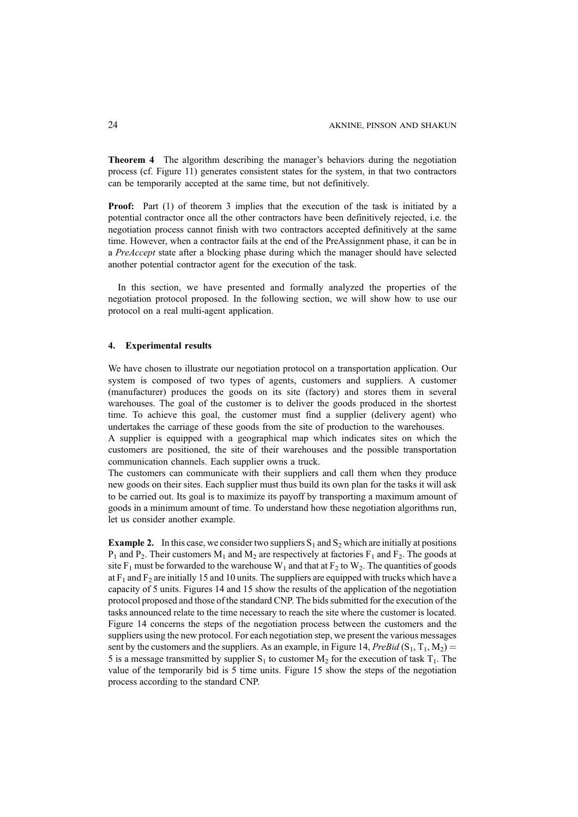Theorem 4 The algorithm describing the manager's behaviors during the negotiation process (cf. Figure 11) generates consistent states for the system, in that two contractors can be temporarily accepted at the same time, but not definitively.

Proof: Part (1) of theorem 3 implies that the execution of the task is initiated by a potential contractor once all the other contractors have been definitively rejected, i.e. the negotiation process cannot finish with two contractors accepted definitively at the same time. However, when a contractor fails at the end of the PreAssignment phase, it can be in a PreAccept state after a blocking phase during which the manager should have selected another potential contractor agent for the execution of the task.

In this section, we have presented and formally analyzed the properties of the negotiation protocol proposed. In the following section, we will show how to use our protocol on a real multi-agent application.

### 4. Experimental results

We have chosen to illustrate our negotiation protocol on a transportation application. Our system is composed of two types of agents, customers and suppliers. A customer (manufacturer) produces the goods on its site (factory) and stores them in several warehouses. The goal of the customer is to deliver the goods produced in the shortest time. To achieve this goal, the customer must find a supplier (delivery agent) who undertakes the carriage of these goods from the site of production to the warehouses.

A supplier is equipped with a geographical map which indicates sites on which the customers are positioned, the site of their warehouses and the possible transportation communication channels. Each supplier owns a truck.

The customers can communicate with their suppliers and call them when they produce new goods on their sites. Each supplier must thus build its own plan for the tasks it will ask to be carried out. Its goal is to maximize its payoff by transporting a maximum amount of goods in a minimum amount of time. To understand how these negotiation algorithms run, let us consider another example.

**Example 2.** In this case, we consider two suppliers  $S_1$  and  $S_2$  which are initially at positions  $P_1$  and  $P_2$ . Their customers  $M_1$  and  $M_2$  are respectively at factories  $F_1$  and  $F_2$ . The goods at site  $F_1$  must be forwarded to the warehouse  $W_1$  and that at  $F_2$  to  $W_2$ . The quantities of goods at  $F_1$  and  $F_2$  are initially 15 and 10 units. The suppliers are equipped with trucks which have a capacity of 5 units. Figures 14 and 15 show the results of the application of the negotiation protocol proposed and those of the standard CNP. The bids submitted for the execution of the tasks announced relate to the time necessary to reach the site where the customer is located. Figure 14 concerns the steps of the negotiation process between the customers and the suppliers using the new protocol. For each negotiation step, we present the various messages sent by the customers and the suppliers. As an example, in Figure 14, PreBid (S<sub>1</sub>, T<sub>1</sub>, M<sub>2</sub>) = 5 is a message transmitted by supplier  $S_1$  to customer  $M_2$  for the execution of task  $T_1$ . The value of the temporarily bid is 5 time units. Figure 15 show the steps of the negotiation process according to the standard CNP.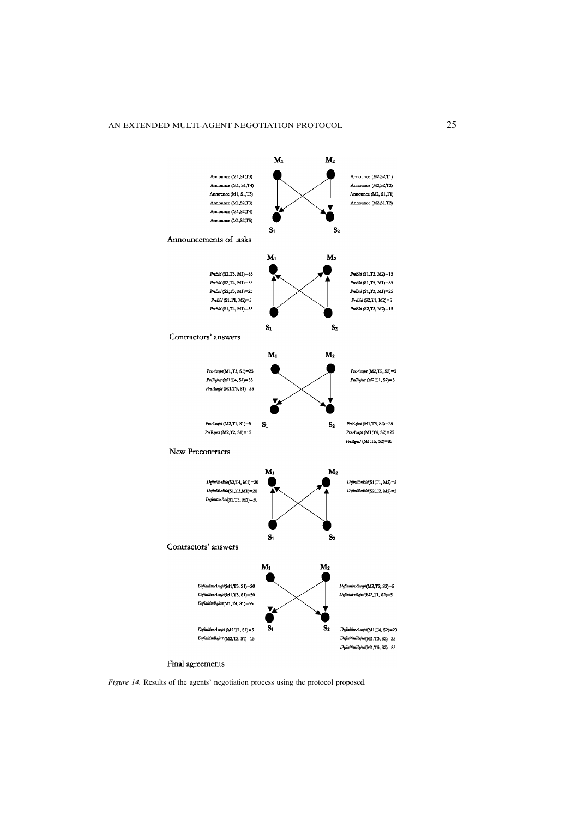

Figure 14. Results of the agents' negotiation process using the protocol proposed.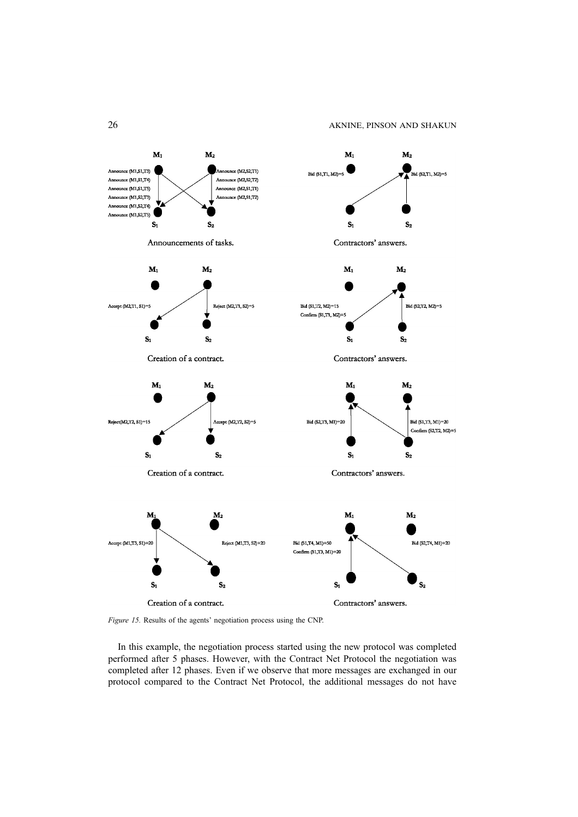

Figure 15. Results of the agents' negotiation process using the CNP.

In this example, the negotiation process started using the new protocol was completed performed after 5 phases. However, with the Contract Net Protocol the negotiation was completed after 12 phases. Even if we observe that more messages are exchanged in our protocol compared to the Contract Net Protocol, the additional messages do not have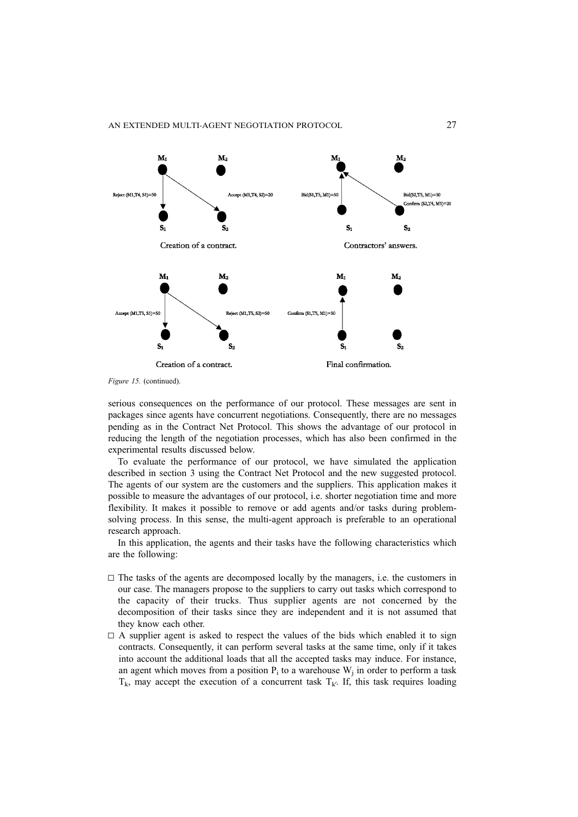

Figure 15. (continued).

serious consequences on the performance of our protocol. These messages are sent in packages since agents have concurrent negotiations. Consequently, there are no messages pending as in the Contract Net Protocol. This shows the advantage of our protocol in reducing the length of the negotiation processes, which has also been confirmed in the experimental results discussed below.

To evaluate the performance of our protocol, we have simulated the application described in section 3 using the Contract Net Protocol and the new suggested protocol. The agents of our system are the customers and the suppliers. This application makes it possible to measure the advantages of our protocol, i.e. shorter negotiation time and more flexibility. It makes it possible to remove or add agents and/or tasks during problemsolving process. In this sense, the multi-agent approach is preferable to an operational research approach.

In this application, the agents and their tasks have the following characteristics which are the following:

- $\Box$  The tasks of the agents are decomposed locally by the managers, i.e. the customers in our case. The managers propose to the suppliers to carry out tasks which correspond to the capacity of their trucks. Thus supplier agents are not concerned by the decomposition of their tasks since they are independent and it is not assumed that they know each other.
- $\Box$  A supplier agent is asked to respect the values of the bids which enabled it to sign contracts. Consequently, it can perform several tasks at the same time, only if it takes into account the additional loads that all the accepted tasks may induce. For instance, an agent which moves from a position  $P_i$  to a warehouse  $W_i$  in order to perform a task  $T_k$ , may accept the execution of a concurrent task  $T_{k'}$ . If, this task requires loading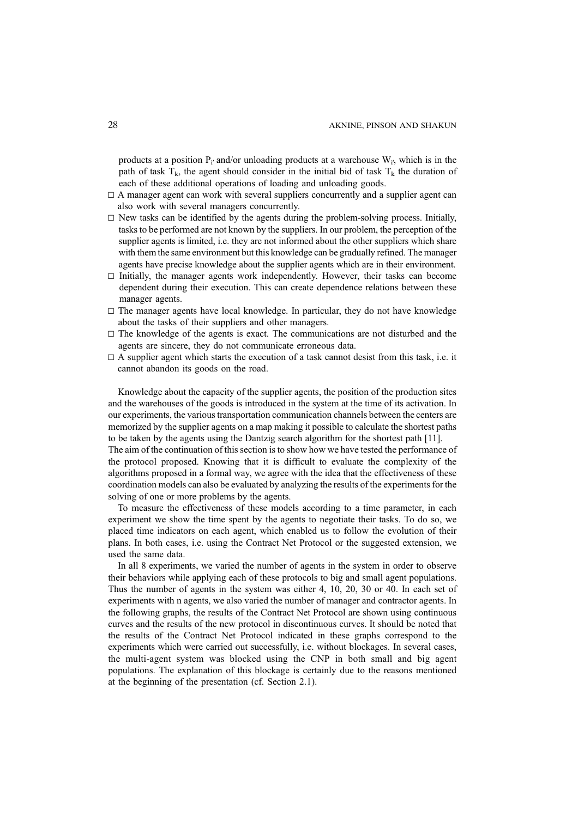products at a position P<sub>i</sub> and/or unloading products at a warehouse  $W_i$ , which is in the path of task  $T_k$ , the agent should consider in the initial bid of task  $T_k$  the duration of each of these additional operations of loading and unloading goods.

- $\Box$  A manager agent can work with several suppliers concurrently and a supplier agent can also work with several managers concurrently.
- $\Box$  New tasks can be identified by the agents during the problem-solving process. Initially, tasks to be performed are not known by the suppliers. In our problem, the perception of the supplier agents is limited, i.e. they are not informed about the other suppliers which share with them the same environment but this knowledge can be gradually refined. The manager agents have precise knowledge about the supplier agents which are in their environment.
- $\Box$  Initially, the manager agents work independently. However, their tasks can become dependent during their execution. This can create dependence relations between these manager agents.
- $\Box$  The manager agents have local knowledge. In particular, they do not have knowledge about the tasks of their suppliers and other managers.
- $\Box$  The knowledge of the agents is exact. The communications are not disturbed and the agents are sincere, they do not communicate erroneous data.
- $\Box$  A supplier agent which starts the execution of a task cannot desist from this task, i.e. it cannot abandon its goods on the road.

Knowledge about the capacity of the supplier agents, the position of the production sites and the warehouses of the goods is introduced in the system at the time of its activation. In our experiments, the various transportation communication channels between the centers are memorized by the supplier agents on a map making it possible to calculate the shortest paths to be taken by the agents using the Dantzig search algorithm for the shortest path [11].

The aim of the continuation of this section is to show how we have tested the performance of the protocol proposed. Knowing that it is difficult to evaluate the complexity of the algorithms proposed in a formal way, we agree with the idea that the effectiveness of these coordination models can also be evaluated by analyzing the results of the experiments for the solving of one or more problems by the agents.

To measure the effectiveness of these models according to a time parameter, in each experiment we show the time spent by the agents to negotiate their tasks. To do so, we placed time indicators on each agent, which enabled us to follow the evolution of their plans. In both cases, i.e. using the Contract Net Protocol or the suggested extension, we used the same data.

In all 8 experiments, we varied the number of agents in the system in order to observe their behaviors while applying each of these protocols to big and small agent populations. Thus the number of agents in the system was either 4, 10, 20, 30 or 40. In each set of experiments with n agents, we also varied the number of manager and contractor agents. In the following graphs, the results of the Contract Net Protocol are shown using continuous curves and the results of the new protocol in discontinuous curves. It should be noted that the results of the Contract Net Protocol indicated in these graphs correspond to the experiments which were carried out successfully, i.e. without blockages. In several cases, the multi-agent system was blocked using the CNP in both small and big agent populations. The explanation of this blockage is certainly due to the reasons mentioned at the beginning of the presentation (cf. Section 2.1).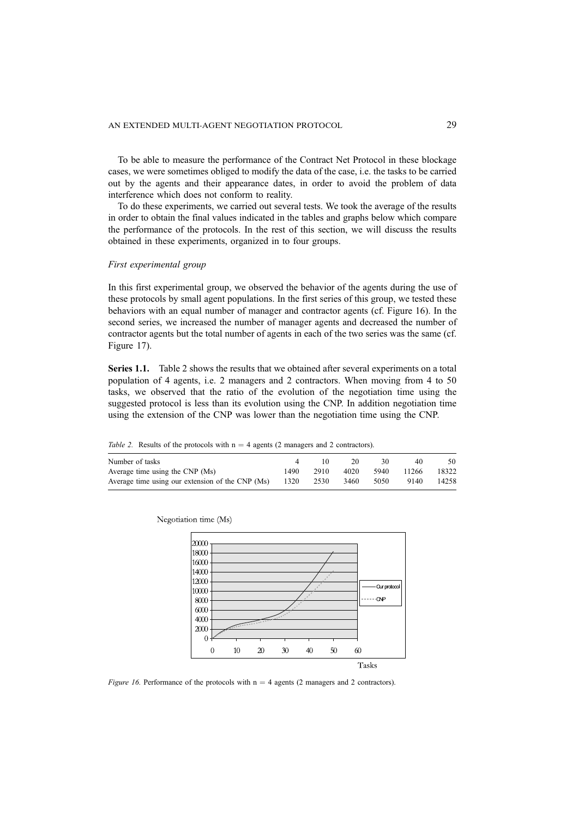To be able to measure the performance of the Contract Net Protocol in these blockage cases, we were sometimes obliged to modify the data of the case, i.e. the tasks to be carried out by the agents and their appearance dates, in order to avoid the problem of data interference which does not conform to reality.

To do these experiments, we carried out several tests. We took the average of the results in order to obtain the final values indicated in the tables and graphs below which compare the performance of the protocols. In the rest of this section, we will discuss the results obtained in these experiments, organized in to four groups.

### First experimental group

In this first experimental group, we observed the behavior of the agents during the use of these protocols by small agent populations. In the first series of this group, we tested these behaviors with an equal number of manager and contractor agents (cf. Figure 16). In the second series, we increased the number of manager agents and decreased the number of contractor agents but the total number of agents in each of the two series was the same (cf. Figure 17).

Series 1.1. Table 2 shows the results that we obtained after several experiments on a total population of 4 agents, i.e. 2 managers and 2 contractors. When moving from 4 to 50 tasks, we observed that the ratio of the evolution of the negotiation time using the suggested protocol is less than its evolution using the CNP. In addition negotiation time using the extension of the CNP was lower than the negotiation time using the CNP.

Table 2. Results of the protocols with  $n = 4$  agents (2 managers and 2 contractors).

| Number of tasks                                  |       |      | 20             | 30.  | 40    | 50    |
|--------------------------------------------------|-------|------|----------------|------|-------|-------|
| Average time using the CNP (Ms)                  | 1490- | 2910 | 4020           | 5940 | 11266 | 18322 |
| Average time using our extension of the CNP (Ms) |       |      | 1320 2530 3460 | 5050 | 9140  | 14258 |



Negotiation time (Ms)

Figure 16. Performance of the protocols with  $n = 4$  agents (2 managers and 2 contractors).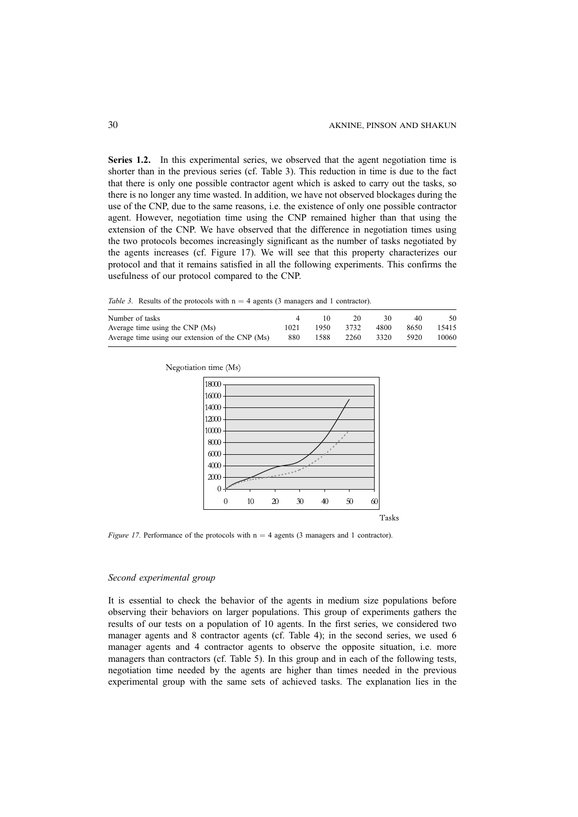Series 1.2. In this experimental series, we observed that the agent negotiation time is shorter than in the previous series (cf. Table 3). This reduction in time is due to the fact that there is only one possible contractor agent which is asked to carry out the tasks, so there is no longer any time wasted. In addition, we have not observed blockages during the use of the CNP, due to the same reasons, i.e. the existence of only one possible contractor agent. However, negotiation time using the CNP remained higher than that using the extension of the CNP. We have observed that the difference in negotiation times using the two protocols becomes increasingly significant as the number of tasks negotiated by the agents increases (cf. Figure 17). We will see that this property characterizes our protocol and that it remains satisfied in all the following experiments. This confirms the usefulness of our protocol compared to the CNP.

Table 3. Results of the protocols with  $n = 4$  agents (3 managers and 1 contractor).

| Number of tasks                                  |      |      | 20   | 30   | 40   | 50    |
|--------------------------------------------------|------|------|------|------|------|-------|
| Average time using the CNP (Ms)                  | 1021 | 1950 | 3732 | 4800 | 8650 | 15415 |
| Average time using our extension of the CNP (Ms) | 880  | 1588 | 2260 | 3320 | 5920 | 10060 |



Figure 17. Performance of the protocols with  $n = 4$  agents (3 managers and 1 contractor).

# Second experimental group

It is essential to check the behavior of the agents in medium size populations before observing their behaviors on larger populations. This group of experiments gathers the results of our tests on a population of 10 agents. In the first series, we considered two manager agents and 8 contractor agents (cf. Table 4); in the second series, we used 6 manager agents and 4 contractor agents to observe the opposite situation, i.e. more managers than contractors (cf. Table 5). In this group and in each of the following tests, negotiation time needed by the agents are higher than times needed in the previous experimental group with the same sets of achieved tasks. The explanation lies in the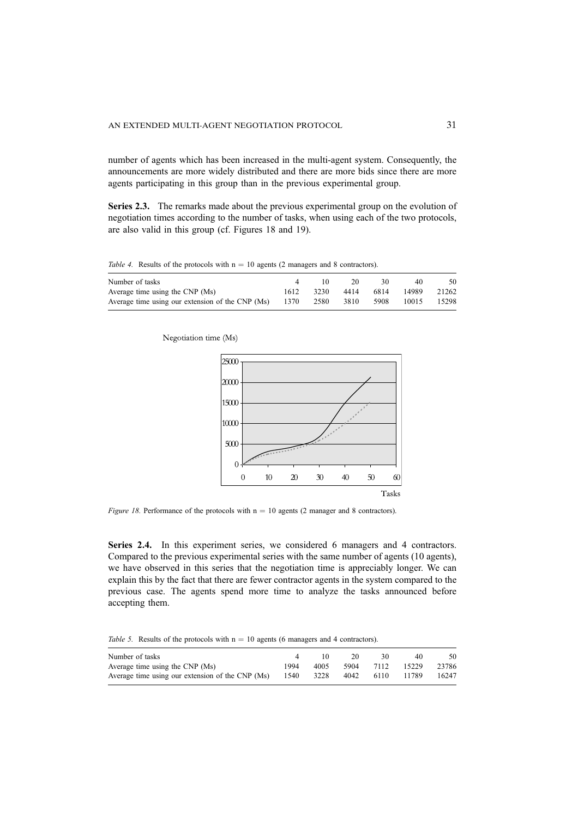number of agents which has been increased in the multi-agent system. Consequently, the announcements are more widely distributed and there are more bids since there are more agents participating in this group than in the previous experimental group.

Series 2.3. The remarks made about the previous experimental group on the evolution of negotiation times according to the number of tasks, when using each of the two protocols, are also valid in this group (cf. Figures 18 and 19).

Table 4. Results of the protocols with  $n = 10$  agents (2 managers and 8 contractors).

| Number of tasks                                  |      |      | 20                  | 30   | 40    | 50          |
|--------------------------------------------------|------|------|---------------------|------|-------|-------------|
| Average time using the CNP (Ms)                  | 1612 | 3230 | 4414                | 6814 | 14989 | 21262       |
| Average time using our extension of the CNP (Ms) |      |      | 1370 2580 3810 5908 |      |       | 10015 15298 |





Figure 18. Performance of the protocols with  $n = 10$  agents (2 manager and 8 contractors).

Series 2.4. In this experiment series, we considered 6 managers and 4 contractors. Compared to the previous experimental series with the same number of agents (10 agents), we have observed in this series that the negotiation time is appreciably longer. We can explain this by the fact that there are fewer contractor agents in the system compared to the previous case. The agents spend more time to analyze the tasks announced before accepting them.

Table 5. Results of the protocols with  $n = 10$  agents (6 managers and 4 contractors).

| Number of tasks                                  |      |           | 20 | 30        | 40              | 50    |
|--------------------------------------------------|------|-----------|----|-----------|-----------------|-------|
| Average time using the CNP (Ms)                  | 1994 | 4005      |    | 5904 7112 | 15229           | 23786 |
| Average time using our extension of the CNP (Ms) |      | 1540 3228 |    |           | 4042 6110 11789 | 16247 |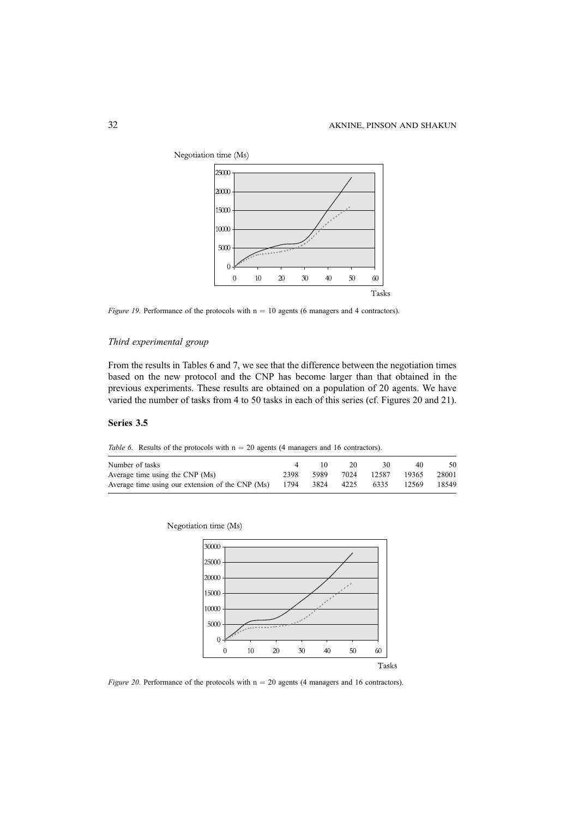

Figure 19. Performance of the protocols with  $n = 10$  agents (6 managers and 4 contractors).

# Third experimental group

From the results in Tables 6 and 7, we see that the difference between the negotiation times based on the new protocol and the CNP has become larger than that obtained in the previous experiments. These results are obtained on a population of 20 agents. We have varied the number of tasks from 4 to 50 tasks in each of this series (cf. Figures 20 and 21).

# Series 3.5

Table 6. Results of the protocols with  $n = 20$  agents (4 managers and 16 contractors).

| Number of tasks                                                                  | 10. | 20 | - 30 -                           | 40 | 50 |
|----------------------------------------------------------------------------------|-----|----|----------------------------------|----|----|
| Average time using the CNP (Ms)                                                  |     |    | 2398 5989 7024 12587 19365 28001 |    |    |
| Average time using our extension of the CNP (Ms) 1794 3824 4225 6335 12569 18549 |     |    |                                  |    |    |





Figure 20. Performance of the protocols with  $n = 20$  agents (4 managers and 16 contractors).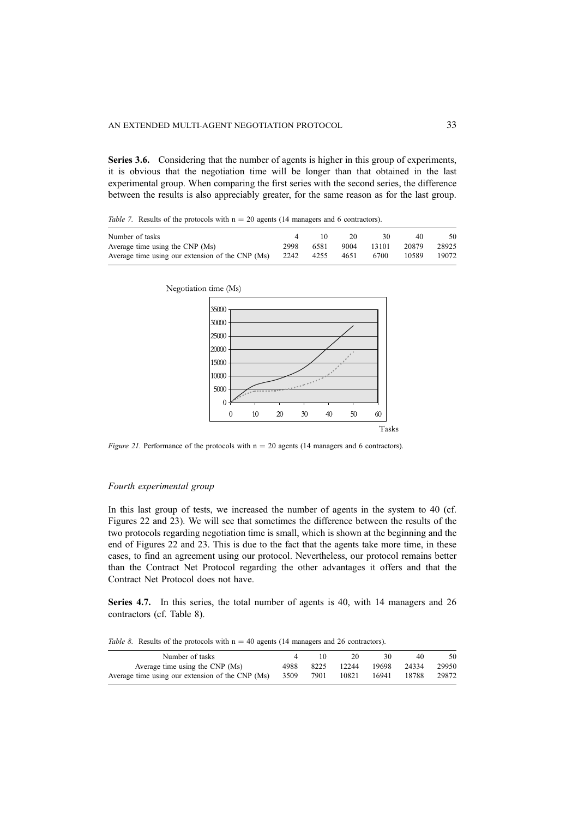Series 3.6. Considering that the number of agents is higher in this group of experiments, it is obvious that the negotiation time will be longer than that obtained in the last experimental group. When comparing the first series with the second series, the difference between the results is also appreciably greater, for the same reason as for the last group.

Table 7. Results of the protocols with  $n = 20$  agents (14 managers and 6 contractors).

| Number of tasks                                  |             |      | 20   | 30.        | 40    | 50    |
|--------------------------------------------------|-------------|------|------|------------|-------|-------|
| Average time using the CNP (Ms)                  | 2998        | 6581 |      | 9004 13101 | 20879 | 28925 |
| Average time using our extension of the CNP (Ms) | $\sim$ 2242 | 4255 | 4651 | 6700       | 10589 | 19072 |



Figure 21. Performance of the protocols with  $n = 20$  agents (14 managers and 6 contractors).

### Fourth experimental group

In this last group of tests, we increased the number of agents in the system to 40 (cf. Figures 22 and 23). We will see that sometimes the difference between the results of the two protocols regarding negotiation time is small, which is shown at the beginning and the end of Figures 22 and 23. This is due to the fact that the agents take more time, in these cases, to find an agreement using our protocol. Nevertheless, our protocol remains better than the Contract Net Protocol regarding the other advantages it offers and that the Contract Net Protocol does not have.

Series 4.7. In this series, the total number of agents is 40, with 14 managers and 26 contractors (cf. Table 8).

Table 8. Results of the protocols with  $n = 40$  agents (14 managers and 26 contractors).

| Number of tasks                                  |           |      | 20.   | 30          | 40          | 50          |
|--------------------------------------------------|-----------|------|-------|-------------|-------------|-------------|
| Average time using the CNP (Ms)                  | 4988      | 8225 | 12244 | 19698       | 24334 29950 |             |
| Average time using our extension of the CNP (Ms) | 3509 7901 |      |       | 10821 16941 |             | 18788 29872 |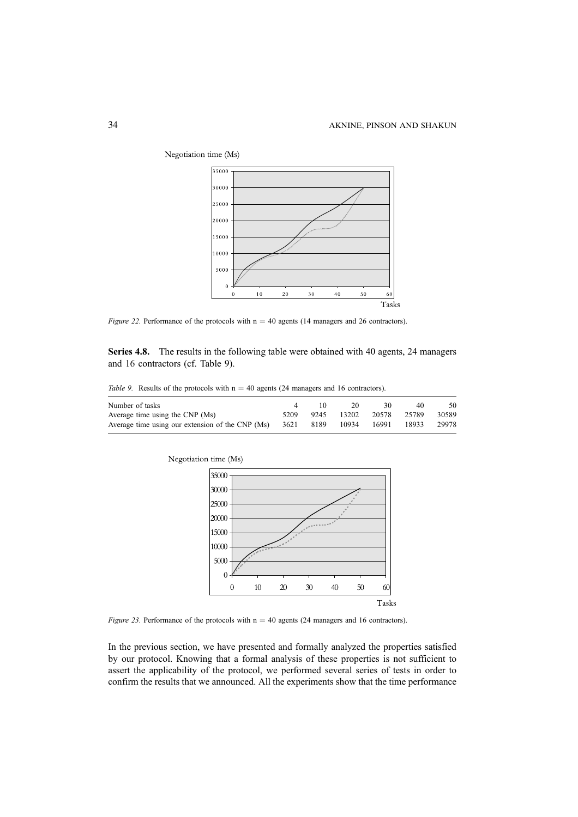

Negotiation time (Ms)

Figure 22. Performance of the protocols with  $n = 40$  agents (14 managers and 26 contractors).

Series 4.8. The results in the following table were obtained with 40 agents, 24 managers and 16 contractors (cf. Table 9).

Table 9. Results of the protocols with  $n = 40$  agents (24 managers and 16 contractors).

| Number of tasks                                                        |      |      | 20 | 30 | 40                | 50          |
|------------------------------------------------------------------------|------|------|----|----|-------------------|-------------|
| Average time using the CNP (Ms)                                        | 5209 | 9245 |    |    | 13202 20578 25789 | 30589       |
| Average time using our extension of the CNP (Ms) 3621 8189 10934 16991 |      |      |    |    |                   | 18933 29978 |



Figure 23. Performance of the protocols with  $n = 40$  agents (24 managers and 16 contractors).

In the previous section, we have presented and formally analyzed the properties satisfied by our protocol. Knowing that a formal analysis of these properties is not sufficient to assert the applicability of the protocol, we performed several series of tests in order to confirm the results that we announced. All the experiments show that the time performance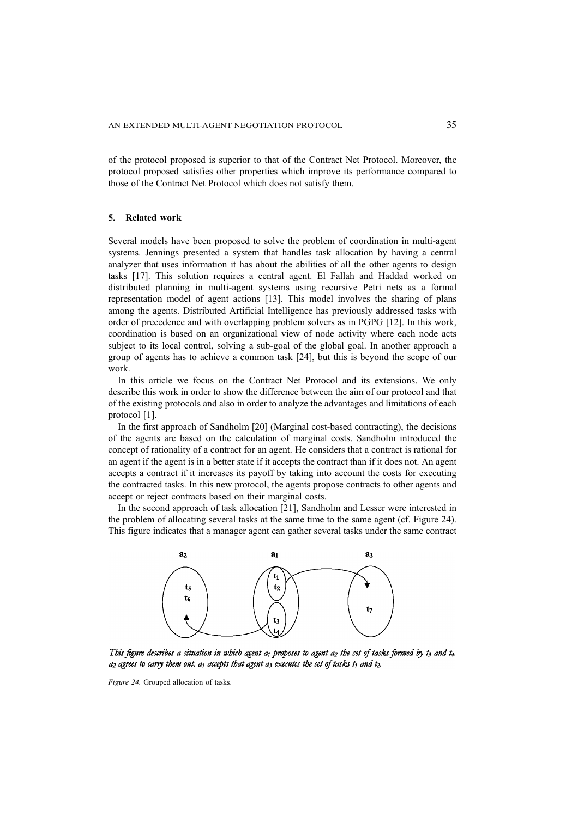of the protocol proposed is superior to that of the Contract Net Protocol. Moreover, the protocol proposed satisfies other properties which improve its performance compared to those of the Contract Net Protocol which does not satisfy them.

# 5. Related work

Several models have been proposed to solve the problem of coordination in multi-agent systems. Jennings presented a system that handles task allocation by having a central analyzer that uses information it has about the abilities of all the other agents to design tasks [17]. This solution requires a central agent. El Fallah and Haddad worked on distributed planning in multi-agent systems using recursive Petri nets as a formal representation model of agent actions [13]. This model involves the sharing of plans among the agents. Distributed Artificial Intelligence has previously addressed tasks with order of precedence and with overlapping problem solvers as in PGPG [12]. In this work, coordination is based on an organizational view of node activity where each node acts subject to its local control, solving a sub-goal of the global goal. In another approach a group of agents has to achieve a common task [24], but this is beyond the scope of our work.

In this article we focus on the Contract Net Protocol and its extensions. We only describe this work in order to show the difference between the aim of our protocol and that of the existing protocols and also in order to analyze the advantages and limitations of each protocol [1].

In the first approach of Sandholm [20] (Marginal cost-based contracting), the decisions of the agents are based on the calculation of marginal costs. Sandholm introduced the concept of rationality of a contract for an agent. He considers that a contract is rational for an agent if the agent is in a better state if it accepts the contract than if it does not. An agent accepts a contract if it increases its payoff by taking into account the costs for executing the contracted tasks. In this new protocol, the agents propose contracts to other agents and accept or reject contracts based on their marginal costs.

In the second approach of task allocation [21], Sandholm and Lesser were interested in the problem of allocating several tasks at the same time to the same agent (cf. Figure 24). This figure indicates that a manager agent can gather several tasks under the same contract



This figure describes a situation in which agent  $a_1$  proposes to agent  $a_2$  the set of tasks formed by t3 and t4.  $a_2$  agrees to carry them out.  $a_1$  accepts that agent  $a_3$  executes the set of tasks  $t_1$  and  $t_2$ .

Figure 24. Grouped allocation of tasks.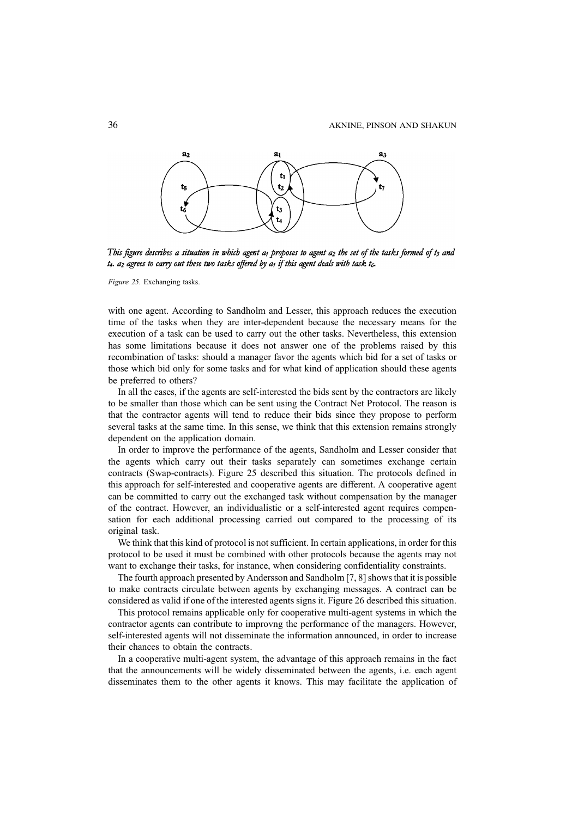

This figure describes a situation in which agent  $a_1$  proposes to agent  $a_2$  the set of the tasks formed of  $t_3$  and  $t_4$ .  $a_2$  agrees to carry out these two tasks offered by  $a_1$  if this agent deals with task  $t_6$ .

Figure 25. Exchanging tasks.

with one agent. According to Sandholm and Lesser, this approach reduces the execution time of the tasks when they are inter-dependent because the necessary means for the execution of a task can be used to carry out the other tasks. Nevertheless, this extension has some limitations because it does not answer one of the problems raised by this recombination of tasks: should a manager favor the agents which bid for a set of tasks or those which bid only for some tasks and for what kind of application should these agents be preferred to others?

In all the cases, if the agents are self-interested the bids sent by the contractors are likely to be smaller than those which can be sent using the Contract Net Protocol. The reason is that the contractor agents will tend to reduce their bids since they propose to perform several tasks at the same time. In this sense, we think that this extension remains strongly dependent on the application domain.

In order to improve the performance of the agents, Sandholm and Lesser consider that the agents which carry out their tasks separately can sometimes exchange certain contracts (Swap-contracts). Figure 25 described this situation. The protocols defined in this approach for self-interested and cooperative agents are different. A cooperative agent can be committed to carry out the exchanged task without compensation by the manager of the contract. However, an individualistic or a self-interested agent requires compensation for each additional processing carried out compared to the processing of its original task.

We think that this kind of protocol is not sufficient. In certain applications, in order for this protocol to be used it must be combined with other protocols because the agents may not want to exchange their tasks, for instance, when considering confidentiality constraints.

The fourth approach presented by Andersson and Sandholm [7, 8] shows that it is possible to make contracts circulate between agents by exchanging messages. A contract can be considered as valid if one of the interested agents signs it. Figure 26 described this situation.

This protocol remains applicable only for cooperative multi-agent systems in which the contractor agents can contribute to improvng the performance of the managers. However, self-interested agents will not disseminate the information announced, in order to increase their chances to obtain the contracts.

In a cooperative multi-agent system, the advantage of this approach remains in the fact that the announcements will be widely disseminated between the agents, i.e. each agent disseminates them to the other agents it knows. This may facilitate the application of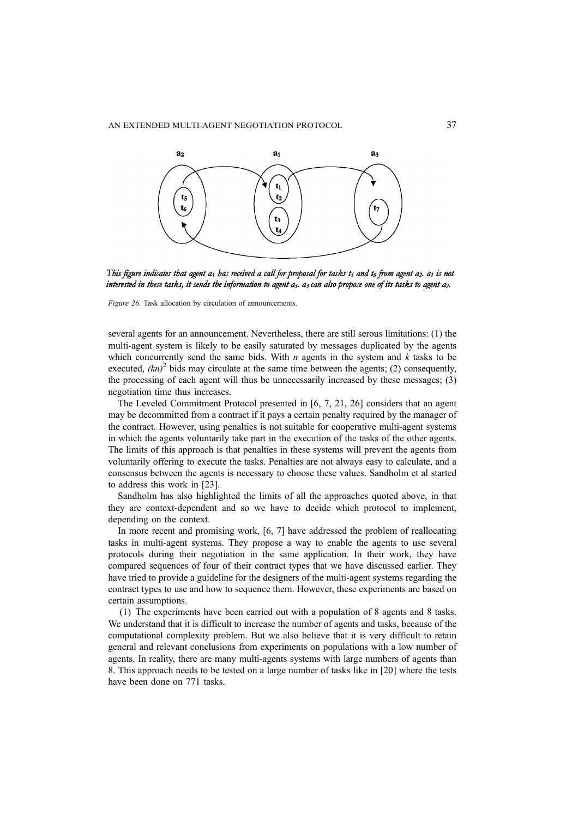

This figure indicates that agent  $a_1$  has received a call for proposal for tasks t<sub>5</sub> and t<sub>6</sub> from agent  $a_2$ .  $a_1$  is not interested in these tasks, it sends the information to agent a3. a3 can also propose one of its tasks to agent a2.

Figure 26. Task allocation by circulation of announcements.

several agents for an announcement. Nevertheless, there are still serous limitations: (1) the multi-agent system is likely to be easily saturated by messages duplicated by the agents which concurrently send the same bids. With *n* agents in the system and  $k$  tasks to be executed,  $(kn)^2$  bids may circulate at the same time between the agents; (2) consequently, the processing of each agent will thus be unnecessarily increased by these messages; (3) negotiation time thus increases.

The Leveled Commitment Protocol presented in [6, 7, 21, 26] considers that an agent may be decommitted from a contract if it pays a certain penalty required by the manager of the contract. However, using penalties is not suitable for cooperative multi-agent systems in which the agents voluntarily take part in the execution of the tasks of the other agents. The limits of this approach is that penalties in these systems will prevent the agents from voluntarily offering to execute the tasks. Penalties are not always easy to calculate, and a consensus between the agents is necessary to choose these values. Sandholm et al started to address this work in [23].

Sandholm has also highlighted the limits of all the approaches quoted above, in that they are context-dependent and so we have to decide which protocol to implement, depending on the context.

In more recent and promising work, [6, 7] have addressed the problem of reallocating tasks in multi-agent systems. They propose a way to enable the agents to use several protocols during their negotiation in the same application. In their work, they have compared sequences of four of their contract types that we have discussed earlier. They have tried to provide a guideline for the designers of the multi-agent systems regarding the contract types to use and how to sequence them. However, these experiments are based on certain assumptions.

(1) The experiments have been carried out with a population of 8 agents and 8 tasks. We understand that it is difficult to increase the number of agents and tasks, because of the computational complexity problem. But we also believe that it is very difficult to retain general and relevant conclusions from experiments on populations with a low number of agents. In reality, there are many multi-agents systems with large numbers of agents than 8. This approach needs to be tested on a large number of tasks like in [20] where the tests have been done on 771 tasks.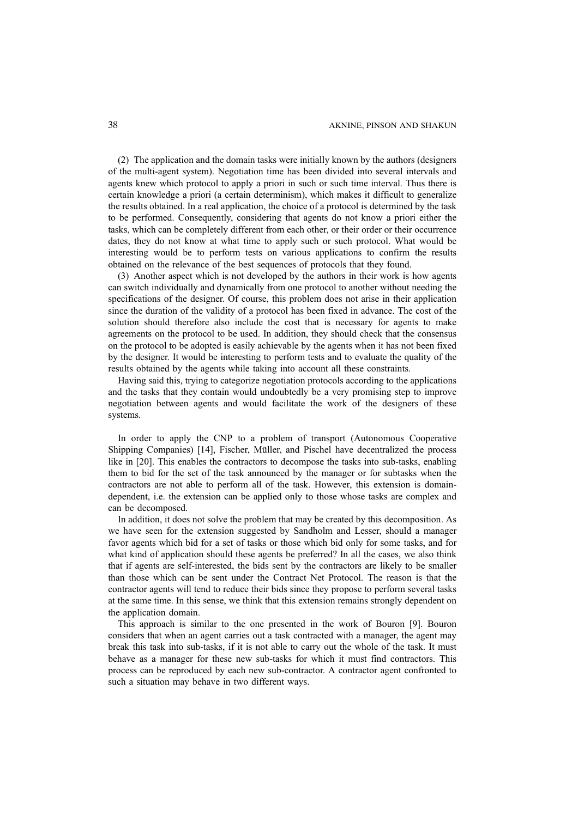(2) The application and the domain tasks were initially known by the authors (designers of the multi-agent system). Negotiation time has been divided into several intervals and agents knew which protocol to apply a priori in such or such time interval. Thus there is certain knowledge a priori (a certain determinism), which makes it difficult to generalize the results obtained. In a real application, the choice of a protocol is determined by the task to be performed. Consequently, considering that agents do not know a priori either the tasks, which can be completely different from each other, or their order or their occurrence dates, they do not know at what time to apply such or such protocol. What would be interesting would be to perform tests on various applications to confirm the results obtained on the relevance of the best sequences of protocols that they found.

(3) Another aspect which is not developed by the authors in their work is how agents can switch individually and dynamically from one protocol to another without needing the specifications of the designer. Of course, this problem does not arise in their application since the duration of the validity of a protocol has been fixed in advance. The cost of the solution should therefore also include the cost that is necessary for agents to make agreements on the protocol to be used. In addition, they should check that the consensus on the protocol to be adopted is easily achievable by the agents when it has not been fixed by the designer. It would be interesting to perform tests and to evaluate the quality of the results obtained by the agents while taking into account all these constraints.

Having said this, trying to categorize negotiation protocols according to the applications and the tasks that they contain would undoubtedly be a very promising step to improve negotiation between agents and would facilitate the work of the designers of these systems.

In order to apply the CNP to a problem of transport (Autonomous Cooperative Shipping Companies) [14], Fischer, Müller, and Pischel have decentralized the process like in [20]. This enables the contractors to decompose the tasks into sub-tasks, enabling them to bid for the set of the task announced by the manager or for subtasks when the contractors are not able to perform all of the task. However, this extension is domaindependent, i.e. the extension can be applied only to those whose tasks are complex and can be decomposed.

In addition, it does not solve the problem that may be created by this decomposition. As we have seen for the extension suggested by Sandholm and Lesser, should a manager favor agents which bid for a set of tasks or those which bid only for some tasks, and for what kind of application should these agents be preferred? In all the cases, we also think that if agents are self-interested, the bids sent by the contractors are likely to be smaller than those which can be sent under the Contract Net Protocol. The reason is that the contractor agents will tend to reduce their bids since they propose to perform several tasks at the same time. In this sense, we think that this extension remains strongly dependent on the application domain.

This approach is similar to the one presented in the work of Bouron [9]. Bouron considers that when an agent carries out a task contracted with a manager, the agent may break this task into sub-tasks, if it is not able to carry out the whole of the task. It must behave as a manager for these new sub-tasks for which it must find contractors. This process can be reproduced by each new sub-contractor. A contractor agent confronted to such a situation may behave in two different ways.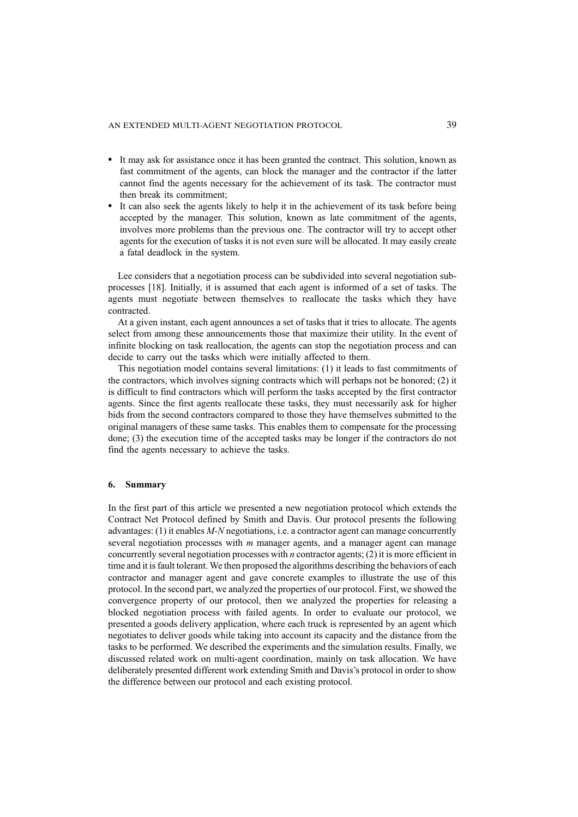- It may ask for assistance once it has been granted the contract. This solution, known as fast commitment of the agents, can block the manager and the contractor if the latter cannot find the agents necessary for the achievement of its task. The contractor must then break its commitment;
- It can also seek the agents likely to help it in the achievement of its task before being accepted by the manager. This solution, known as late commitment of the agents, involves more problems than the previous one. The contractor will try to accept other agents for the execution of tasks it is not even sure will be allocated. It may easily create a fatal deadlock in the system.

Lee considers that a negotiation process can be subdivided into several negotiation subprocesses [18]. Initially, it is assumed that each agent is informed of a set of tasks. The agents must negotiate between themselves to reallocate the tasks which they have contracted.

At a given instant, each agent announces a set of tasks that it tries to allocate. The agents select from among these announcements those that maximize their utility. In the event of infinite blocking on task reallocation, the agents can stop the negotiation process and can decide to carry out the tasks which were initially affected to them.

This negotiation model contains several limitations: (1) it leads to fast commitments of the contractors, which involves signing contracts which will perhaps not be honored; (2) it is difficult to find contractors which will perform the tasks accepted by the first contractor agents. Since the first agents reallocate these tasks, they must necessarily ask for higher bids from the second contractors compared to those they have themselves submitted to the original managers of these same tasks. This enables them to compensate for the processing done; (3) the execution time of the accepted tasks may be longer if the contractors do not find the agents necessary to achieve the tasks.

# 6. Summary

In the first part of this article we presented a new negotiation protocol which extends the Contract Net Protocol defined by Smith and Davis. Our protocol presents the following advantages:  $(1)$  it enables *M-N* negotiations, i.e. a contractor agent can manage concurrently several negotiation processes with  $m$  manager agents, and a manager agent can manage concurrently several negotiation processes with *n* contractor agents; (2) it is more efficient in time and it is fault tolerant. We then proposed the algorithms describing the behaviors of each contractor and manager agent and gave concrete examples to illustrate the use of this protocol. In the second part, we analyzed the properties of our protocol. First, we showed the convergence property of our protocol, then we analyzed the properties for releasing a blocked negotiation process with failed agents. In order to evaluate our protocol, we presented a goods delivery application, where each truck is represented by an agent which negotiates to deliver goods while taking into account its capacity and the distance from the tasks to be performed. We described the experiments and the simulation results. Finally, we discussed related work on multi-agent coordination, mainly on task allocation. We have deliberately presented different work extending Smith and Davis's protocol in order to show the difference between our protocol and each existing protocol.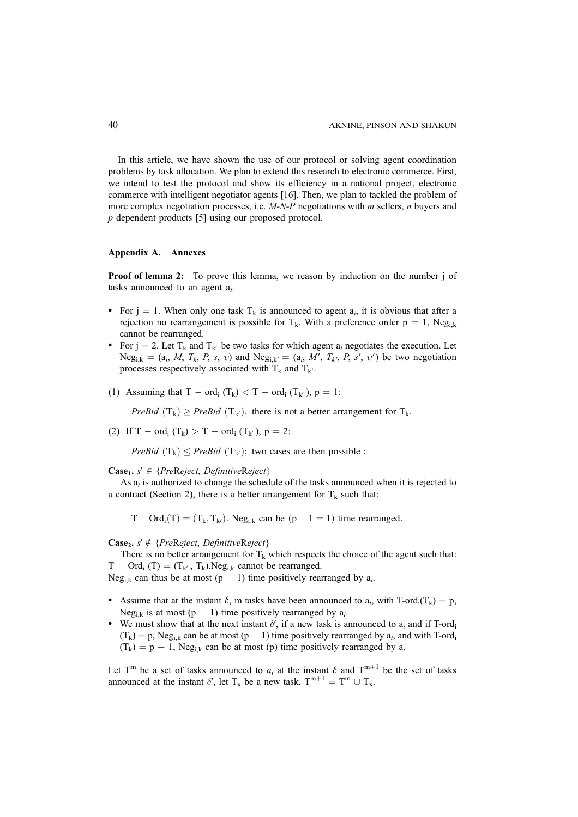In this article, we have shown the use of our protocol or solving agent coordination problems by task allocation. We plan to extend this research to electronic commerce. First, we intend to test the protocol and show its efficiency in a national project, electronic commerce with intelligent negotiator agents [16]. Then, we plan to tackled the problem of more complex negotiation processes, i.e. M-N-P negotiations with m sellers, n buyers and p dependent products [5] using our proposed protocol.

# Appendix A. Annexes

Proof of lemma 2: To prove this lemma, we reason by induction on the number j of tasks announced to an agent  $a_i$ .

- For  $j = 1$ . When only one task  $T_k$  is announced to agent  $a_i$ , it is obvious that after a rejection no rearrangement is possible for  $T_k$ . With a preference order  $p = 1$ , Neg<sub>i,k</sub> cannot be rearranged.
- For  $j = 2$ . Let T<sub>k</sub> and T<sub>k</sub>' be two tasks for which agent a<sub>i</sub> negotiates the execution. Let Neg<sub>i,k</sub> = (a<sub>i</sub>, *M*, *T<sub>k</sub>*, *P*, *s*, *v*) and Neg<sub>i,k'</sub> = (a<sub>i</sub>, *M'*, *T<sub>k</sub>'*, *P*, *s'*, *v'*) be two negotiation processes respectively associated with T<sub>r</sub> and T<sub>r</sub>. processes respectively associated with  $T_k$  and  $T_{k'}$ .
- (1) Assuming that  $T ord_i(T_k) < T ord_i(T_{k'})$ ,  $p = 1$ :

*PreBid*  $(T_k)$  > *PreBid*  $(T_{k'})$ , there is not a better arrangement for  $T_k$ .

(2) If T – ord<sub>i</sub>  $(T_k) > T$  – ord<sub>i</sub>  $(T_{k'})$ , p = 2:

*PreBid*  $(T_k) \leq PreBid(T_{k'})$ ; two cases are then possible :

**Case**<sub>1</sub>.  $s' \in \{PreReject, DefinitiveReject\}$ 

As  $a_i$  is authorized to change the schedule of the tasks announced when it is rejected to a contract (Section 2), there is a better arrangement for  $T_k$  such that:

 $T - Ord_i(T) = (T_k, T_{k})$ . Neg<sub>i:k</sub> can be  $(p - 1 = 1)$  time rearranged.

# **Case<sub>2</sub>**.  $s' \notin \{PreReject, DefinitiveReject\}$

There is no better arrangement for  $T_k$  which respects the choice of the agent such that:  $T - Ord_i(T) = (T_{k'}, T_k)$ .Neg<sub>i,k</sub> cannot be rearranged.

Neg<sub>i,k</sub> can thus be at most  $(p - 1)$  time positively rearranged by  $a_i$ .

- Assume that at the instant  $\delta$ , m tasks have been announced to  $a_i$ , with T-ord<sub>i</sub>(T<sub>k</sub>) = p, Neg<sub>ik</sub> is at most  $(p - 1)$  time positively rearranged by  $a_i$ .
- We must show that at the next instant  $\delta'$ , if a new task is announced to  $a_i$  and if T-ord<sub>i</sub>  $(T_k) = p$ , Neg<sub>i,k</sub> can be at most (p – 1) time positively rearranged by  $a_i$ , and with T-ord<sub>i</sub>  $(T_k) = p + 1$ , Neg<sub>i,k</sub> can be at most (p) time positively rearranged by  $a_i$

Let T<sup>m</sup> be a set of tasks announced to  $a_i$  at the instant  $\delta$  and T<sup>m+1</sup> be the set of tasks announced at the instant  $\delta'$ , let  $T_x$  be a new task,  $T^{m+1} = T^m \cup T_x$ .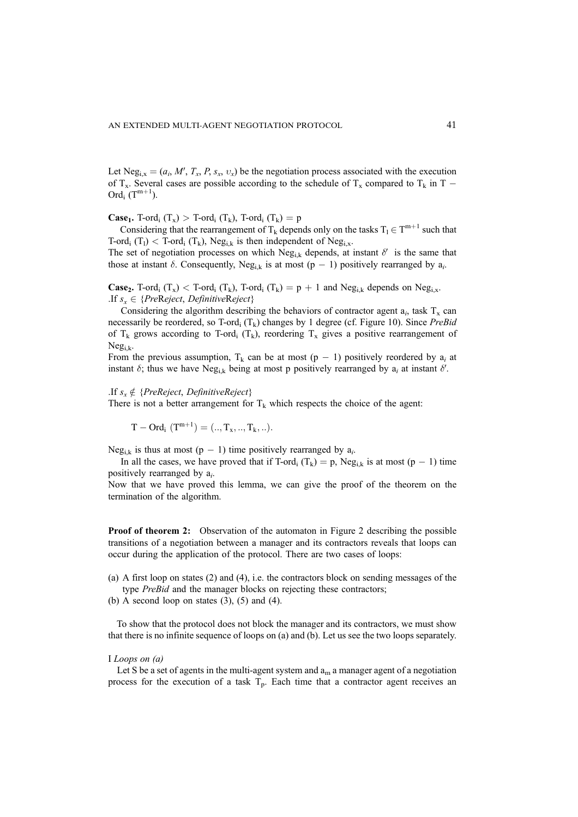Let Neg<sub>i,x</sub> =  $(a_i, M', T_x, P, s_x, v_x)$  be the negotiation process associated with the execution<br>of T. Several cases are possible according to the schedule of T. compared to T. in T. of  $T_x$ . Several cases are possible according to the schedule of  $T_x$  compared to  $T_k$  in T –  $Ord_i(T^{m+1}).$ 

**Case**<sub>1</sub>. T-ord<sub>i</sub>  $(T_x) > T$ -ord<sub>i</sub>  $(T_k)$ , T-ord<sub>i</sub>  $(T_k) = p$ 

Considering that the rearrangement of T<sub>k</sub> depends only on the tasks  $T_1 \in T^{m+1}$  such that T-ord<sub>i</sub>  $(T_1)$  < T-ord<sub>i</sub>  $(T_k)$ , Neg<sub>i,k</sub> is then independent of Neg<sub>i,x</sub>.

The set of negotiation processes on which Neg<sub>i,k</sub> depends, at instant  $\delta'$  is the same that those at instant  $\delta$ . Consequently, Neg<sub>i,k</sub> is at most (p - 1) positively rearranged by  $a_i$ .

**Case<sub>2</sub>.** T-ord<sub>i</sub>  $(T_x) < T$ -ord<sub>i</sub>  $(T_k)$ , T-ord<sub>i</sub>  $(T_k) = p + 1$  and Neg<sub>ik</sub> depends on Neg<sub>ix</sub>. .If  $s_x \in \{PreReject, DefinitiveReject\}$ 

Considering the algorithm describing the behaviors of contractor agent  $a_i$ , task  $T_x$  can necessarily be reordered, so T-ord<sub>i</sub> (T<sub>k</sub>) changes by 1 degree (cf. Figure 10). Since PreBid of T<sub>k</sub> grows according to T-ord<sub>i</sub> (T<sub>k</sub>), reordering T<sub>x</sub> gives a positive rearrangement of  $Neg<sub>i k</sub>$ .

From the previous assumption,  $T_k$  can be at most (p - 1) positively reordered by  $a_i$  at instant  $\delta$ ; thus we have Neg<sub>i,k</sub> being at most p positively rearranged by  $a_i$  at instant  $\delta'$ .

### .If  $s_x \notin \{PreReject, DefinitiveReject\}$

There is not a better arrangement for  $T_k$  which respects the choice of the agent:

$$
T - Ord_i (T^{m+1}) = (.., T_x, .., T_k, ..).
$$

Neg<sub>i,k</sub> is thus at most  $(p - 1)$  time positively rearranged by  $a_i$ .

In all the cases, we have proved that if T-ord<sub>i</sub>  $(T_k) = p$ , Neg<sub>ik</sub> is at most  $(p - 1)$  time positively rearranged by  $a_i$ .

Now that we have proved this lemma, we can give the proof of the theorem on the termination of the algorithm.

**Proof of theorem 2:** Observation of the automaton in Figure 2 describing the possible transitions of a negotiation between a manager and its contractors reveals that loops can occur during the application of the protocol. There are two cases of loops:

- (a) A first loop on states (2) and (4), i.e. the contractors block on sending messages of the type PreBid and the manager blocks on rejecting these contractors;
- (b) A second loop on states  $(3)$ ,  $(5)$  and  $(4)$ .

To show that the protocol does not block the manager and its contractors, we must show that there is no infinite sequence of loops on (a) and (b). Let us see the two loops separately.

# I Loops on (a)

Let S be a set of agents in the multi-agent system and  $a<sub>m</sub>$  a manager agent of a negotiation process for the execution of a task  $T_p$ . Each time that a contractor agent receives an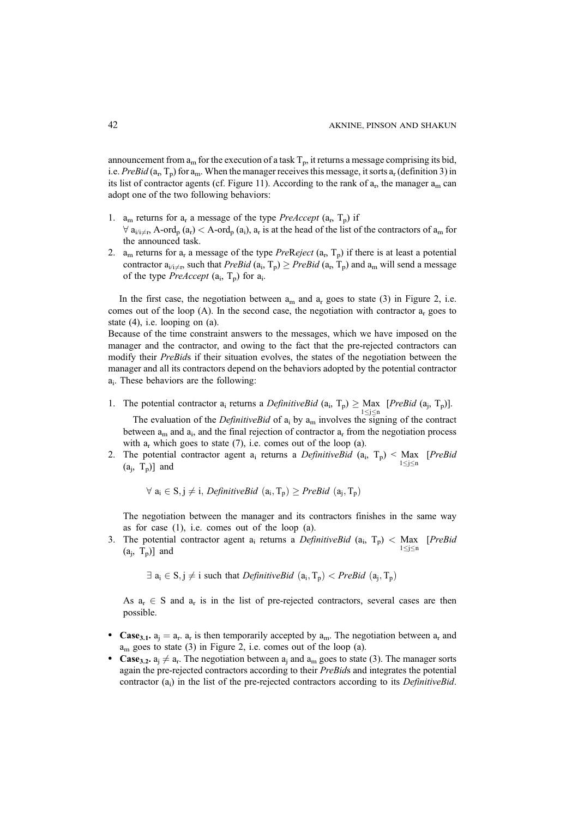announcement from  $a_m$  for the execution of a task  $T_p$ , it returns a message comprising its bid, i.e. PreBid  $(a_r, T_p)$  for  $a_m$ . When the manager receives this message, it sorts  $a_r$  (definition 3) in its list of contractor agents (cf. Figure 11). According to the rank of  $a<sub>r</sub>$ , the manager  $a<sub>m</sub>$  can adopt one of the two following behaviors:

- 1.  $a_m$  returns for  $a_r$  a message of the type *PreAccept*  $(a_r, T_p)$  if  $\forall$  a<sub>i/i≠p</sub>, A-ord<sub>p</sub> (a<sub>r</sub>) < A-ord<sub>p</sub> (a<sub>i</sub>), a<sub>r</sub> is at the head of the list of the contractors of a<sub>m</sub> for the announced task.
- 2.  $a_m$  returns for  $a_r$  a message of the type *PreReject*  $(a_r, T_p)$  if there is at least a potential contractor  $a_{i,i\neq r}$ , such that *PreBid* ( $a_i$ ,  $T_p$ ) *PreBid* ( $a_r$ ,  $T_p$ ) and  $a_m$  will send a message of the type *PreAccept*  $(a_i, T_p)$  for  $a_i$ .

In the first case, the negotiation between  $a_m$  and  $a_r$  goes to state (3) in Figure 2, i.e. comes out of the loop (A). In the second case, the negotiation with contractor  $a_r$  goes to state (4), i.e. looping on (a).

Because of the time constraint answers to the messages, which we have imposed on the manager and the contractor, and owing to the fact that the pre-rejected contractors can modify their PreBids if their situation evolves, the states of the negotiation between the manager and all its contractors depend on the behaviors adopted by the potential contractor a<sub>i</sub>. These behaviors are the following:

1. The potential contractor  $a_i$  returns a *DefinitiveBid*  $(a_i, T_p) \geq Max$  [*PreBid*  $(a_j, T_p)$ ].  $1 \leq j \leq n$ 

The evaluation of the *DefinitiveBid* of  $a_i$  by  $a_m$  involves the signing of the contract between  $a_m$  and  $a_i$ , and the final rejection of contractor  $a_r$  from the negotiation process with  $a_r$  which goes to state (7), i.e. comes out of the loop (a).

2. The potential contractor agent  $a_i$  returns a *DefinitiveBid*  $(a_i, T_p) < Max$  [*PreBid*  $1 \leq j \leq n$  $(a_i, T_p)$ ] and

 $\forall a_i \in S, j \neq i$ , DefinitiveBid  $(a_i, T_p) \ge PreBid(a_i, T_p)$ 

The negotiation between the manager and its contractors finishes in the same way as for case  $(1)$ , i.e. comes out of the loop  $(a)$ .

3. The potential contractor agent  $a_i$  returns a *DefinitiveBid*  $(a_i, T_p) < Max$  $1 \leq j \leq n$ [PreBid  $(a_i, T_p)]$  and

 $\exists a_i \in S, j \neq i$  such that *DefinitiveBid*  $(a_i, T_p) < PreBid$   $(a_i, T_p)$ 

As  $a_r \in S$  and  $a_r$  is in the list of pre-rejected contractors, several cases are then possible.

- **Case**<sub>3.1</sub>.  $a_j = a_r$ .  $a_r$  is then temporarily accepted by  $a_m$ . The negotiation between  $a_r$  and  $a<sub>m</sub>$  goes to state (3) in Figure 2, i.e. comes out of the loop (a).
- **Case**<sub>3.2</sub>.  $a_i \neq a_r$ . The negotiation between  $a_i$  and  $a_m$  goes to state (3). The manager sorts again the pre-rejected contractors according to their PreBids and integrates the potential contractor  $(a_i)$  in the list of the pre-rejected contractors according to its *DefinitiveBid.*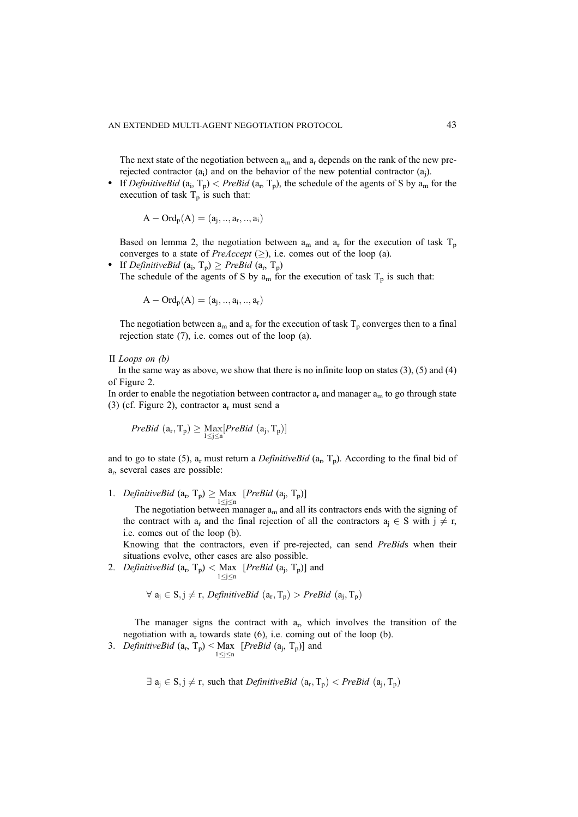The next state of the negotiation between  $a_m$  and  $a_r$  depends on the rank of the new prerejected contractor  $(a_i)$  and on the behavior of the new potential contractor  $(a_i)$ .

If DefinitiveBid  $(a_i, T_p) < PreBid (a_n, T_p)$ , the schedule of the agents of S by  $a_m$  for the execution of task  $T_p$  is such that:

 $A - Ord_n(A) = (a_i, ..., a_r, ..., a_i)$ 

Based on lemma 2, the negotiation between  $a_m$  and  $a_r$  for the execution of task  $T_p$ converges to a state of *PreAccept* ( $\geq$ ), i.e. comes out of the loop (a).

• If DefinitiveBid  $(a_i, T_p) \ge PreBid (a_r, T_p)$ 

The schedule of the agents of S by  $a_m$  for the execution of task  $T_p$  is such that:

 $A - Ord_p(A) = (a_i, ..., a_i, ..., a_r)$ 

The negotiation between  $a_m$  and  $a_r$  for the execution of task  $T_p$  converges then to a final rejection state (7), i.e. comes out of the loop (a).

II Loops on (b)

In the same way as above, we show that there is no infinite loop on states  $(3)$ ,  $(5)$  and  $(4)$ of Figure 2.

In order to enable the negotiation between contractor  $a_r$  and manager  $a_m$  to go through state (3) (cf. Figure 2), contractor  $a_r$  must send a

$$
\text{PreBid } (a_r, T_p) \geq \underset{1 \leq j \leq n}{\text{Max}}[\text{PreBid } (a_j, T_p)]
$$

and to go to state (5),  $a_r$  must return a *DefinitiveBid* ( $a_r$ ,  $T_p$ ). According to the final bid of ar, several cases are possible:

1. *DefinitiveBid*  $(a_r, T_p) \geq Max_{1 \leq j \leq n}$ <br>The negotiation between n  $[PreBid (a_j, T_p)]$ 

The negotiation between manager  $a_m$  and all its contractors ends with the signing of the contract with  $a_r$  and the final rejection of all the contractors  $a_i \in S$  with  $j \neq r$ , i.e. comes out of the loop (b).

Knowing that the contractors, even if pre-rejected, can send PreBids when their situations evolve, other cases are also possible.

2. DefinitiveBid  $(a_r, T_p) <$  Max [PreBid  $(a_j, T_p)$ ] and  $1 \leq j \leq n$ 

$$
\forall a_j \in S, j \neq r, \, \text{DefinitiveBid} \, (a_r, T_p) > \text{PreBid} \, (a_j, T_p)
$$

The manager signs the contract with  $a<sub>r</sub>$ , which involves the transition of the negotiation with  $a_r$  towards state (6), i.e. coming out of the loop (b).

3. DefinitiveBid  $(a_r, T_p) \leq Max$  [PreBid  $(a_j, T_p)$ ] and  $1 \leq i \leq n$ 

$$
\exists\ a_j\in S, j\neq r,\ such\ that\ DefinitiveBid\ (a_r,T_p)<\mathit{PreBid}\ (a_j,T_p)
$$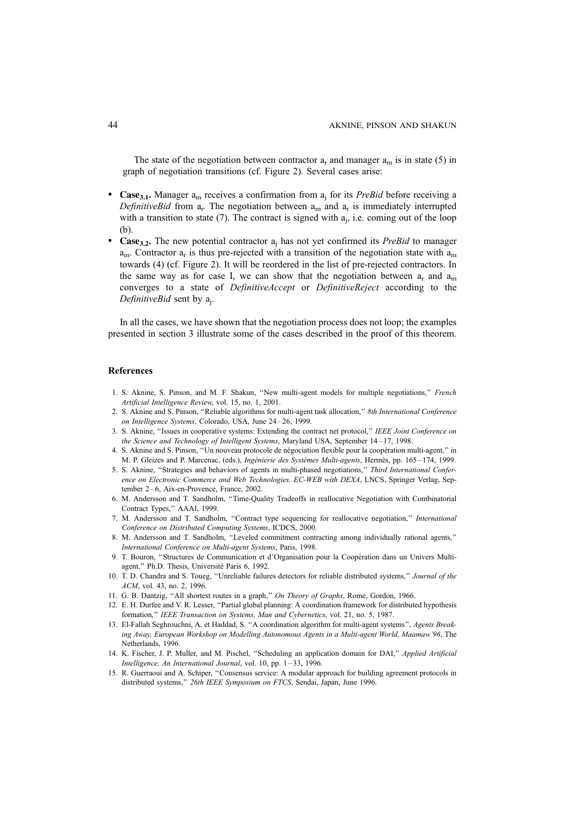The state of the negotiation between contractor  $a_r$  and manager  $a_m$  is in state (5) in graph of negotiation transitions (cf. Figure 2). Several cases arise:

- **Case<sub>3.1</sub>.** Manager  $a_m$  receives a confirmation from  $a_i$  for its *PreBid* before receiving a DefinitiveBid from  $a_r$ . The negotiation between  $a_m$  and  $a_r$  is immediately interrupted with a transition to state (7). The contract is signed with  $a_i$ , i.e. coming out of the loop (b).
- **Case**<sub>3.2</sub>. The new potential contractor  $a_i$  has not yet confirmed its *PreBid* to manager  $a_m$ . Contractor  $a_r$  is thus pre-rejected with a transition of the negotiation state with  $a_m$ towards (4) (cf. Figure 2). It will be reordered in the list of pre-rejected contractors. In the same way as for case I, we can show that the negotiation between  $a_r$  and  $a_m$ converges to a state of DefinitiveAccept or DefinitiveReject according to the DefinitiveBid sent by  $a_i$ .

In all the cases, we have shown that the negotiation process does not loop; the examples presented in section 3 illustrate some of the cases described in the proof of this theorem.

### References

- 1. S. Aknine, S. Pinson, and M. F. Shakun, ''New multi-agent models for multiple negotiations,'' French Artificial Intelligence Review, vol. 15, no. 1, 2001.
- 2. S. Aknine and S. Pinson, "Reliable algorithms for multi-agent task allocation," 8th International Conference on Intelligence Systems, Colorado, USA, June 24 – 26, 1999.
- 3. S. Aknine, ''Issues in cooperative systems: Extending the contract net protocol,'' IEEE Joint Conference on the Science and Technology of Intelligent Systems, Maryland USA, September 14-17, 1998.
- 4. S. Aknine and S. Pinson, "Un nouveau protocole de négociation flexible pour la coopération multi-agent," in M. P. Gleizes and P. Marcenac, (eds.), Ingénierie des Systèmes Multi-agents, Hermès, pp. 165-174, 1999.
- 5. S. Aknine, ''Strategies and behaviors of agents in multi-phased negotiations,'' Third International Conference on Electronic Commerce and Web Technologies, EC-WEB with DEXA, LNCS, Springer Verlag, September 2-6, Aix-en-Provence, France, 2002.
- 6. M. Andersson and T. Sandholm, ''Time-Quality Tradeoffs in reallocative Negotiation with Combinatorial Contract Types,'' AAAI, 1999.
- 7. M. Andersson and T. Sandholm, "Contract type sequencing for reallocative negotiation," International Conference on Distributed Computing Systems, ICDCS, 2000.
- 8. M. Andersson and T. Sandholm, ''Leveled commitment contracting among individually rational agents,'' International Conference on Multi-agent Systems, Paris, 1998.
- 9. T. Bouron, "Structures de Communication et d'Organisation pour la Coopération dans un Univers Multiagent," Ph.D. Thesis, Université Paris 6, 1992.
- 10. T. D. Chandra and S. Toueg, ''Unreliable failures detectors for reliable distributed systems,'' Journal of the ACM, vol. 43, no. 2, 1996.
- 11. G. B. Dantzig, ''All shortest routes in a graph,'' On Theory of Graphs, Rome, Gordon, 1966.
- 12. E. H. Durfee and V. R. Lesser, ''Partial global planning: A coordination framework for distributed hypothesis formation,'' IEEE Transaction on Systems, Man and Cybernetics, vol. 21, no. 5, 1987.
- 13. El-Fallah Seghrouchni, A. et Haddad, S. "A coordination algorithm for multi-agent systems", Agents Breaking Away, European Workshop on Modelling Autonomous Agents in a Multi-agent World, Maamaw'96, The Netherlands, 1996.
- 14. K. Fischer, J. P. Muller, and M. Pischel, ''Scheduling an application domain for DAI,'' Applied Artificial Intelligence, An International Journal, vol. 10, pp. 1-33, 1996.
- 15. R. Guerraoui and A. Schiper, ''Consensus service: A modular approach for building agreement protocols in distributed systems," 26th IEEE Symposium on FTCS, Sendai, Japan, June 1996.